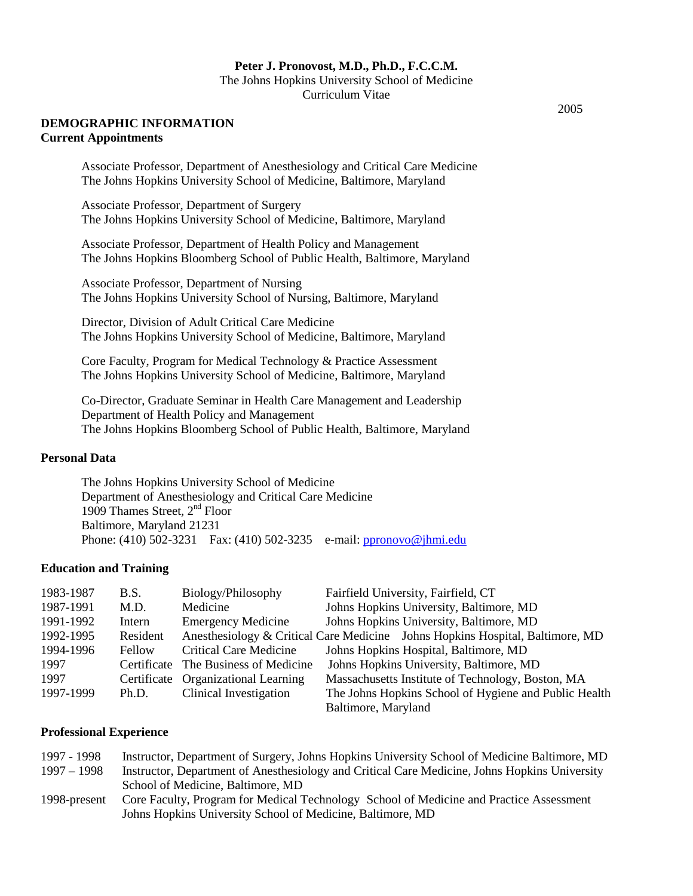#### **Peter J. Pronovost, M.D., Ph.D., F.C.C.M.**

The Johns Hopkins University School of Medicine Curriculum Vitae

#### **DEMOGRAPHIC INFORMATION Current Appointments**

Associate Professor, Department of Anesthesiology and Critical Care Medicine The Johns Hopkins University School of Medicine, Baltimore, Maryland

Associate Professor, Department of Surgery The Johns Hopkins University School of Medicine, Baltimore, Maryland

Associate Professor, Department of Health Policy and Management The Johns Hopkins Bloomberg School of Public Health, Baltimore, Maryland

Associate Professor, Department of Nursing The Johns Hopkins University School of Nursing, Baltimore, Maryland

Director, Division of Adult Critical Care Medicine The Johns Hopkins University School of Medicine, Baltimore, Maryland

Core Faculty, Program for Medical Technology & Practice Assessment The Johns Hopkins University School of Medicine, Baltimore, Maryland

Co-Director, Graduate Seminar in Health Care Management and Leadership Department of Health Policy and Management The Johns Hopkins Bloomberg School of Public Health, Baltimore, Maryland

#### **Personal Data**

The Johns Hopkins University School of Medicine Department of Anesthesiology and Critical Care Medicine 1909 Thames Street, 2nd Floor Baltimore, Maryland 21231 Phone: (410) 502-3231 Fax: (410) 502-3235 e-mail: [ppronovo@jhmi.edu](mailto:ppronovo@jhmi.edu)

#### **Education and Training**

| 1983-1987 | B.S.     | Biology/Philosophy                   | Fairfield University, Fairfield, CT                                           |
|-----------|----------|--------------------------------------|-------------------------------------------------------------------------------|
| 1987-1991 | M.D.     | Medicine                             | Johns Hopkins University, Baltimore, MD                                       |
| 1991-1992 | Intern   | <b>Emergency Medicine</b>            | Johns Hopkins University, Baltimore, MD                                       |
| 1992-1995 | Resident |                                      | Anesthesiology & Critical Care Medicine Johns Hopkins Hospital, Baltimore, MD |
| 1994-1996 | Fellow   | <b>Critical Care Medicine</b>        | Johns Hopkins Hospital, Baltimore, MD                                         |
| 1997      |          | Certificate The Business of Medicine | Johns Hopkins University, Baltimore, MD                                       |
| 1997      |          | Certificate Organizational Learning  | Massachusetts Institute of Technology, Boston, MA                             |
| 1997-1999 | Ph.D.    | Clinical Investigation               | The Johns Hopkins School of Hygiene and Public Health                         |
|           |          |                                      | Baltimore, Maryland                                                           |

#### **Professional Experience**

| 1997 - 1998   | Instructor, Department of Surgery, Johns Hopkins University School of Medicine Baltimore, MD  |
|---------------|-----------------------------------------------------------------------------------------------|
| $1997 - 1998$ | Instructor, Department of Anesthesiology and Critical Care Medicine, Johns Hopkins University |
|               | School of Medicine, Baltimore, MD                                                             |
| 1998-present  | Core Faculty, Program for Medical Technology School of Medicine and Practice Assessment       |
|               | Johns Hopkins University School of Medicine, Baltimore, MD                                    |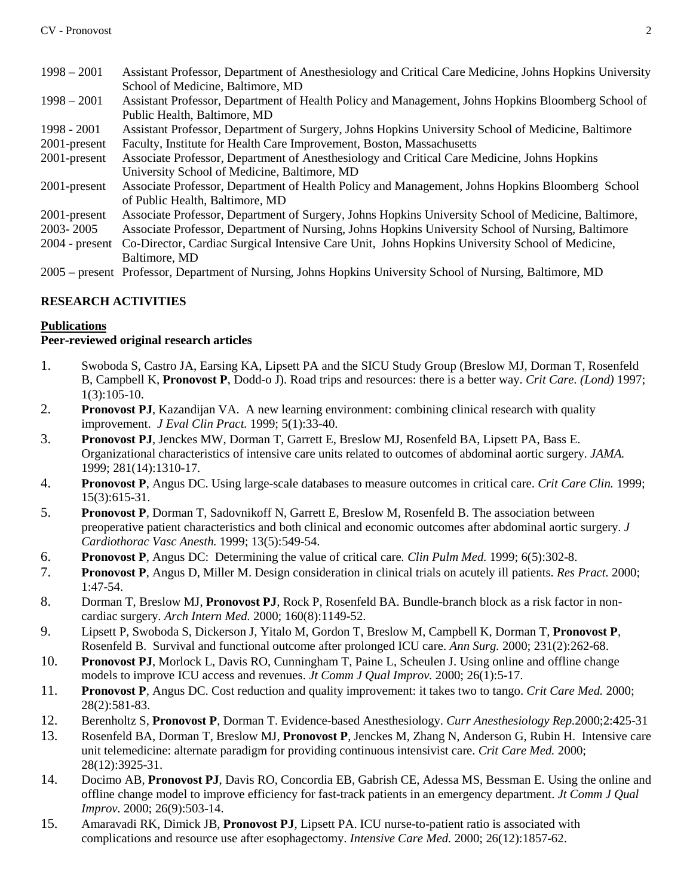- 1998 2001 Assistant Professor, Department of Anesthesiology and Critical Care Medicine, Johns Hopkins University School of Medicine, Baltimore, MD
- 1998 2001 Assistant Professor, Department of Health Policy and Management, Johns Hopkins Bloomberg School of Public Health, Baltimore, MD
- 1998 2001 Assistant Professor, Department of Surgery, Johns Hopkins University School of Medicine, Baltimore 2001-present Faculty, Institute for Health Care Improvement, Boston, Massachusetts
- 2001-present Associate Professor, Department of Anesthesiology and Critical Care Medicine, Johns Hopkins University School of Medicine, Baltimore, MD
- 2001-present Associate Professor, Department of Health Policy and Management, Johns Hopkins Bloomberg School of Public Health, Baltimore, MD
- 2001-present Associate Professor, Department of Surgery, Johns Hopkins University School of Medicine, Baltimore,
- 2003- 2005 Associate Professor, Department of Nursing, Johns Hopkins University School of Nursing, Baltimore
- 2004 present Co-Director, Cardiac Surgical Intensive Care Unit, Johns Hopkins University School of Medicine, Baltimore, MD
- 2005 present Professor, Department of Nursing, Johns Hopkins University School of Nursing, Baltimore, MD

# **RESEARCH ACTIVITIES**

# **Publications**

## **Peer-reviewed original research articles**

- 1. Swoboda S, Castro JA, Earsing KA, Lipsett PA and the SICU Study Group (Breslow MJ, Dorman T, Rosenfeld B, Campbell K, **Pronovost P**, Dodd-o J). Road trips and resources: there is a better way. *Crit Care. (Lond)* 1997; 1(3):105-10.
- 2. **Pronovost PJ**, Kazandijan VA. A new learning environment: combining clinical research with quality improvement. *J Eval Clin Pract.* 1999; 5(1):33-40.
- 3. **Pronovost PJ**, Jenckes MW, Dorman T, Garrett E, Breslow MJ, Rosenfeld BA, Lipsett PA, Bass E. Organizational characteristics of intensive care units related to outcomes of abdominal aortic surgery. *JAMA.* 1999; 281(14):1310-17.
- 4. **Pronovost P**, Angus DC. Using large-scale databases to measure outcomes in critical care. *Crit Care Clin.* 1999; 15(3):615-31.
- 5. **Pronovost P**, Dorman T, Sadovnikoff N, Garrett E, Breslow M, Rosenfeld B. The association between preoperative patient characteristics and both clinical and economic outcomes after abdominal aortic surgery. *J Cardiothorac Vasc Anesth.* 1999; 13(5):549-54.
- 6. **Pronovost P**, Angus DC: Determining the value of critical care*. Clin Pulm Med.* 1999; 6(5):302-8.
- 7. **Pronovost P**, Angus D, Miller M. Design consideration in clinical trials on acutely ill patients. *Res Pract.* 2000; 1:47-54.
- 8. Dorman T, Breslow MJ, **Pronovost PJ**, Rock P, Rosenfeld BA. Bundle-branch block as a risk factor in noncardiac surgery. *Arch Intern Med.* 2000; 160(8):1149-52.
- 9. Lipsett P, Swoboda S, Dickerson J, Yitalo M, Gordon T, Breslow M, Campbell K, Dorman T, **Pronovost P**, Rosenfeld B. Survival and functional outcome after prolonged ICU care. *Ann Surg.* 2000; 231(2):262-68.
- 10. **Pronovost PJ**, Morlock L, Davis RO, Cunningham T, Paine L, Scheulen J. Using online and offline change models to improve ICU access and revenues. *Jt Comm J Qual Improv.* 2000; 26(1):5-17.
- 11. **Pronovost P**, Angus DC. Cost reduction and quality improvement: it takes two to tango. *Crit Care Med.* 2000; 28(2):581-83.
- 12. Berenholtz S, **Pronovost P**, Dorman T. Evidence-based Anesthesiology. *Curr Anesthesiology Rep.*2000;2:425-31
- 13. Rosenfeld BA, Dorman T, Breslow MJ, **Pronovost P**, Jenckes M, Zhang N, Anderson G, Rubin H. Intensive care unit telemedicine: alternate paradigm for providing continuous intensivist care. *Crit Care Med.* 2000; 28(12):3925-31.
- 14. Docimo AB, **Pronovost PJ**, Davis RO, Concordia EB, Gabrish CE, Adessa MS, Bessman E. Using the online and offline change model to improve efficiency for fast-track patients in an emergency department. *Jt Comm J Qual Improv.* 2000; 26(9):503-14.
- 15. Amaravadi RK, Dimick JB, **Pronovost PJ**, Lipsett PA. ICU nurse-to-patient ratio is associated with complications and resource use after esophagectomy. *Intensive Care Med.* 2000; 26(12):1857-62.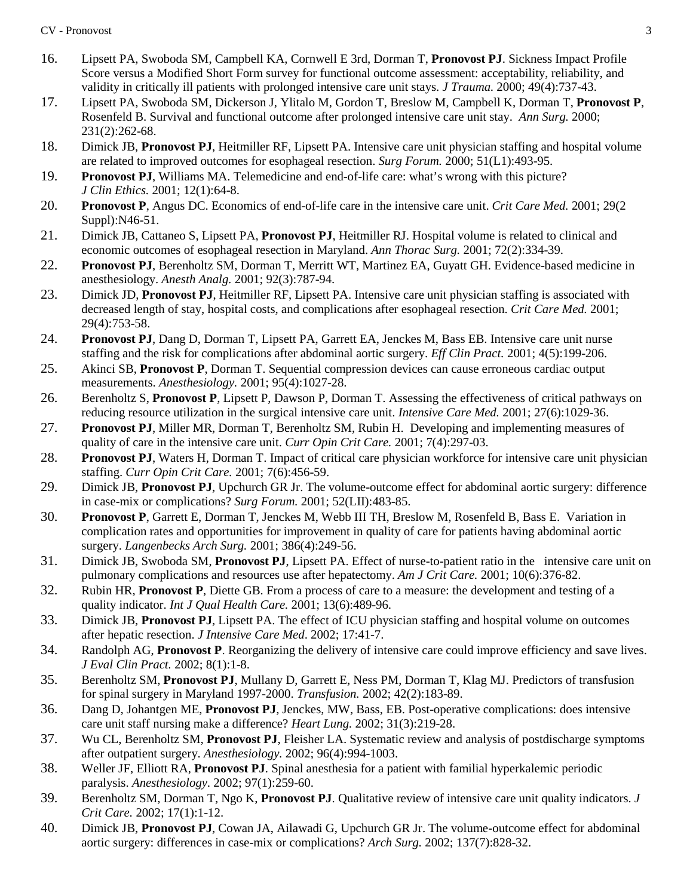- 16. Lipsett PA, Swoboda SM, Campbell KA, Cornwell E 3rd, Dorman T, **Pronovost PJ**. Sickness Impact Profile Score versus a Modified Short Form survey for functional outcome assessment: acceptability, reliability, and validity in critically ill patients with prolonged intensive care unit stays. *J Trauma.* 2000; 49(4):737-43.
- 17. Lipsett PA, Swoboda SM, Dickerson J, Ylitalo M, Gordon T, Breslow M, Campbell K, Dorman T, **Pronovost P**, Rosenfeld B. Survival and functional outcome after prolonged intensive care unit stay. *Ann Surg.* 2000; 231(2):262-68.
- 18. Dimick JB, **Pronovost PJ**, Heitmiller RF, Lipsett PA. Intensive care unit physician staffing and hospital volume are related to improved outcomes for esophageal resection. *Surg Forum.* 2000; 51(L1):493-95.
- 19. **Pronovost PJ**, Williams MA. Telemedicine and end-of-life care: what's wrong with this picture? *J Clin Ethics.* 2001; 12(1):64-8.
- 20. **Pronovost P**, Angus DC. Economics of end-of-life care in the intensive care unit. *Crit Care Med.* 2001; 29(2 Suppl):N46-51.
- 21. Dimick JB, Cattaneo S, Lipsett PA, **Pronovost PJ**, Heitmiller RJ. Hospital volume is related to clinical and economic outcomes of esophageal resection in Maryland. *Ann Thorac Surg.* 2001; 72(2):334-39.
- 22. **Pronovost PJ**, Berenholtz SM, Dorman T, Merritt WT, Martinez EA, Guyatt GH. Evidence-based medicine in anesthesiology. *Anesth Analg.* 2001; 92(3):787-94.
- 23. Dimick JD, **Pronovost PJ**, Heitmiller RF, Lipsett PA. Intensive care unit physician staffing is associated with decreased length of stay, hospital costs, and complications after esophageal resection. *Crit Care Med.* 2001; 29(4):753-58.
- 24. **Pronovost PJ**, Dang D, Dorman T, Lipsett PA, Garrett EA, Jenckes M, Bass EB. Intensive care unit nurse staffing and the risk for complications after abdominal aortic surgery. *Eff Clin Pract.* 2001; 4(5):199-206.
- 25. Akinci SB, **Pronovost P**, Dorman T. Sequential compression devices can cause erroneous cardiac output measurements. *Anesthesiology.* 2001; 95(4):1027-28.
- 26. Berenholtz S, **Pronovost P**, Lipsett P, Dawson P, Dorman T. Assessing the effectiveness of critical pathways on reducing resource utilization in the surgical intensive care unit. *Intensive Care Med.* 2001; 27(6):1029-36.
- 27. **Pronovost PJ**, Miller MR, Dorman T, Berenholtz SM, Rubin H. Developing and implementing measures of quality of care in the intensive care unit. *Curr Opin Crit Care.* 2001; 7(4):297-03.
- 28. **Pronovost PJ**, Waters H, Dorman T. Impact of critical care physician workforce for intensive care unit physician staffing. *Curr Opin Crit Care.* 2001; 7(6):456-59.
- 29. Dimick JB, **Pronovost PJ**, Upchurch GR Jr. The volume-outcome effect for abdominal aortic surgery: difference in case-mix or complications? *Surg Forum.* 2001; 52(LII):483-85.
- 30. **Pronovost P**, Garrett E, Dorman T, Jenckes M, Webb III TH, Breslow M, Rosenfeld B, Bass E. Variation in complication rates and opportunities for improvement in quality of care for patients having abdominal aortic surgery. *Langenbecks Arch Surg.* 2001; 386(4):249-56.
- 31. Dimick JB, Swoboda SM, **Pronovost PJ**, Lipsett PA. Effect of nurse-to-patient ratio in the intensive care unit on pulmonary complications and resources use after hepatectomy. *Am J Crit Care.* 2001; 10(6):376-82.
- 32. Rubin HR, **Pronovost P**, Diette GB. From a process of care to a measure: the development and testing of a quality indicator. *Int J Qual Health Care.* 2001; 13(6):489-96.
- 33. Dimick JB, **Pronovost PJ**, Lipsett PA. The effect of ICU physician staffing and hospital volume on outcomes after hepatic resection. *J Intensive Care Med*. 2002; 17:41-7.
- 34. Randolph AG, **Pronovost P**. Reorganizing the delivery of intensive care could improve efficiency and save lives. *J Eval Clin Pract.* 2002; 8(1):1-8.
- 35. Berenholtz SM, **Pronovost PJ**, Mullany D, Garrett E, Ness PM, Dorman T, Klag MJ. Predictors of transfusion for spinal surgery in Maryland 1997-2000. *Transfusion.* 2002; 42(2):183-89.
- 36. Dang D, Johantgen ME, **Pronovost PJ**, Jenckes, MW, Bass, EB. Post-operative complications: does intensive care unit staff nursing make a difference? *Heart Lung.* 2002; 31(3):219-28.
- 37. Wu CL, Berenholtz SM, **Pronovost PJ**, Fleisher LA. Systematic review and analysis of postdischarge symptoms after outpatient surgery. *Anesthesiology.* 2002; 96(4):994-1003.
- 38. Weller JF, Elliott RA, **Pronovost PJ**. Spinal anesthesia for a patient with familial hyperkalemic periodic paralysis. *Anesthesiology.* 2002; 97(1):259-60.
- 39. Berenholtz SM, Dorman T, Ngo K, **Pronovost PJ**. Qualitative review of intensive care unit quality indicators. *J Crit Care.* 2002; 17(1):1-12.
- 40. Dimick JB, **Pronovost PJ**, Cowan JA, Ailawadi G, Upchurch GR Jr. The volume-outcome effect for abdominal aortic surgery: differences in case-mix or complications? *Arch Surg.* 2002; 137(7):828-32.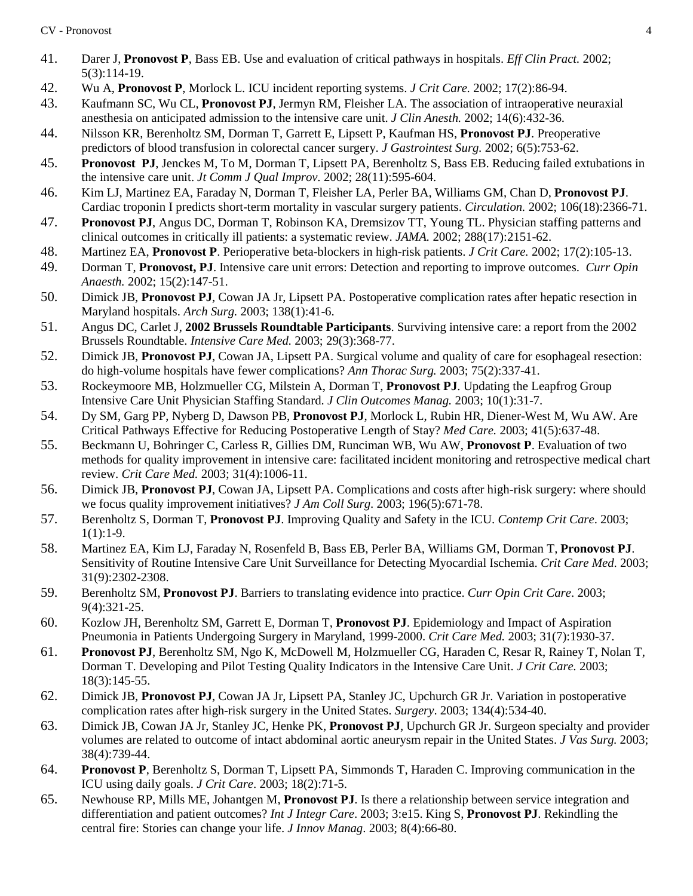- 41. Darer J, **Pronovost P**, Bass EB. Use and evaluation of critical pathways in hospitals. *Eff Clin Pract.* 2002; 5(3):114-19.
- 42. Wu A, **Pronovost P**, Morlock L. ICU incident reporting systems. *J Crit Care.* 2002; 17(2):86-94.
- 43. Kaufmann SC, Wu CL, **Pronovost PJ**, Jermyn RM, Fleisher LA. The association of intraoperative neuraxial anesthesia on anticipated admission to the intensive care unit. *J Clin Anesth.* 2002; 14(6):432-36.
- 44. Nilsson KR, Berenholtz SM, Dorman T, Garrett E, Lipsett P, Kaufman HS, **Pronovost PJ**. Preoperative predictors of blood transfusion in colorectal cancer surgery. *J Gastrointest Surg.* 2002; 6(5):753-62.
- 45. **Pronovost PJ**, Jenckes M, To M, Dorman T, Lipsett PA, Berenholtz S, Bass EB. Reducing failed extubations in the intensive care unit. *Jt Comm J Qual Improv.* 2002; 28(11):595-604.
- 46. Kim LJ, Martinez EA, Faraday N, Dorman T, Fleisher LA, Perler BA, Williams GM, Chan D, **Pronovost PJ**. Cardiac troponin I predicts short-term mortality in vascular surgery patients. *Circulation.* 2002; 106(18):2366-71.
- 47. **Pronovost PJ**, Angus DC, Dorman T, Robinson KA, Dremsizov TT, Young TL. Physician staffing patterns and clinical outcomes in critically ill patients: a systematic review. *JAMA.* 2002; 288(17):2151-62.
- 48. Martinez EA, **Pronovost P**. Perioperative beta-blockers in high-risk patients. *J Crit Care.* 2002; 17(2):105-13.
- 49. Dorman T, **Pronovost, PJ**. Intensive care unit errors: Detection and reporting to improve outcomes. *Curr Opin Anaesth.* 2002; 15(2):147-51.
- 50. Dimick JB, **Pronovost PJ**, Cowan JA Jr, Lipsett PA. Postoperative complication rates after hepatic resection in Maryland hospitals. *Arch Surg.* 2003; 138(1):41-6.
- 51. Angus DC, Carlet J, **2002 Brussels Roundtable Participants**. Surviving intensive care: a report from the 2002 Brussels Roundtable. *Intensive Care Med.* 2003; 29(3):368-77.
- 52. Dimick JB, **Pronovost PJ**, Cowan JA, Lipsett PA. Surgical volume and quality of care for esophageal resection: do high-volume hospitals have fewer complications? *Ann Thorac Surg.* 2003; 75(2):337-41.
- 53. Rockeymoore MB, Holzmueller CG, Milstein A, Dorman T, **Pronovost PJ**. Updating the Leapfrog Group Intensive Care Unit Physician Staffing Standard. *J Clin Outcomes Manag.* 2003; 10(1):31-7.
- 54. Dy SM, Garg PP, Nyberg D, Dawson PB, **Pronovost PJ**, Morlock L, Rubin HR, Diener-West M, Wu AW. Are Critical Pathways Effective for Reducing Postoperative Length of Stay? *Med Care.* 2003; 41(5):637-48.
- 55. Beckmann U, Bohringer C, Carless R, Gillies DM, Runciman WB, Wu AW, **Pronovost P**. Evaluation of two methods for quality improvement in intensive care: facilitated incident monitoring and retrospective medical chart review. *Crit Care Med.* 2003; 31(4):1006-11.
- 56. Dimick JB, **Pronovost PJ**, Cowan JA, Lipsett PA. Complications and costs after high-risk surgery: where should we focus quality improvement initiatives? *J Am Coll Surg*. 2003; 196(5):671-78.
- 57. Berenholtz S, Dorman T, **Pronovost PJ**. Improving Quality and Safety in the ICU. *Contemp Crit Care*. 2003;  $1(1):1-9.$
- 58. Martinez EA, Kim LJ, Faraday N, Rosenfeld B, Bass EB, Perler BA, Williams GM, Dorman T, **Pronovost PJ**. Sensitivity of Routine Intensive Care Unit Surveillance for Detecting Myocardial Ischemia. *Crit Care Med*. 2003; 31(9):2302-2308.
- 59. Berenholtz SM, **Pronovost PJ**. Barriers to translating evidence into practice. *Curr Opin Crit Care*. 2003; 9(4):321-25.
- 60. Kozlow JH, Berenholtz SM, Garrett E, Dorman T, **Pronovost PJ**. Epidemiology and Impact of Aspiration Pneumonia in Patients Undergoing Surgery in Maryland, 1999-2000. *Crit Care Med.* 2003; 31(7):1930-37.
- 61. **Pronovost PJ**, Berenholtz SM, Ngo K, McDowell M, Holzmueller CG, Haraden C, Resar R, Rainey T, Nolan T, Dorman T. Developing and Pilot Testing Quality Indicators in the Intensive Care Unit. *J Crit Care.* 2003; 18(3):145-55.
- 62. Dimick JB, **Pronovost PJ**, Cowan JA Jr, Lipsett PA, Stanley JC, Upchurch GR Jr. Variation in postoperative complication rates after high-risk surgery in the United States. *Surgery*. 2003; 134(4):534-40.
- 63. Dimick JB, Cowan JA Jr, Stanley JC, Henke PK, **Pronovost PJ**, Upchurch GR Jr. Surgeon specialty and provider volumes are related to outcome of intact abdominal aortic aneurysm repair in the United States. *J Vas Surg.* 2003; 38(4):739-44.
- 64. **Pronovost P**, Berenholtz S, Dorman T, Lipsett PA, Simmonds T, Haraden C. Improving communication in the ICU using daily goals. *J Crit Care*. 2003; 18(2):71-5.
- 65. Newhouse RP, Mills ME, Johantgen M, **Pronovost PJ**. Is there a relationship between service integration and differentiation and patient outcomes? *Int J Integr Care*. 2003; 3:e15. King S, **Pronovost PJ**. Rekindling the central fire: Stories can change your life. *J Innov Manag*. 2003; 8(4):66-80.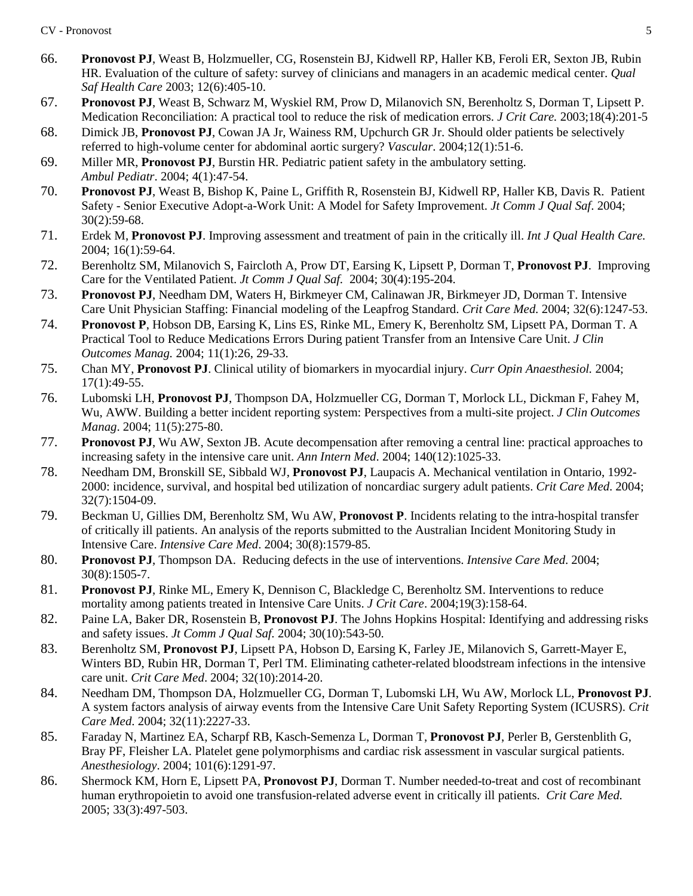- 66. **Pronovost PJ**, Weast B, Holzmueller, CG, Rosenstein BJ, Kidwell RP, Haller KB, Feroli ER, Sexton JB, Rubin HR. Evaluation of the culture of safety: survey of clinicians and managers in an academic medical center. *Qual Saf Health Care* 2003; 12(6):405-10.
- 67. **Pronovost PJ**, Weast B, Schwarz M, Wyskiel RM, Prow D, Milanovich SN, Berenholtz S, Dorman T, Lipsett P. Medication Reconciliation: A practical tool to reduce the risk of medication errors. *J Crit Care.* 2003;18(4):201-5
- 68. Dimick JB, **Pronovost PJ**, Cowan JA Jr, Wainess RM, Upchurch GR Jr. Should older patients be selectively referred to high-volume center for abdominal aortic surgery? *Vascular*. 2004;12(1):51-6.
- 69. Miller MR, **Pronovost PJ**, Burstin HR. Pediatric patient safety in the ambulatory setting. *Ambul Pediatr*. 2004; 4(1):47-54.
- 70. **Pronovost PJ**, Weast B, Bishop K, Paine L, Griffith R, Rosenstein BJ, Kidwell RP, Haller KB, Davis R. Patient Safety - Senior Executive Adopt-a-Work Unit: A Model for Safety Improvement. *Jt Comm J Qual Saf*. 2004; 30(2):59-68.
- 71. Erdek M, **Pronovost PJ**. Improving assessment and treatment of pain in the critically ill. *Int J Qual Health Care.* 2004; 16(1):59-64.
- 72. Berenholtz SM, Milanovich S, Faircloth A, Prow DT, Earsing K, Lipsett P, Dorman T, **Pronovost PJ**. Improving Care for the Ventilated Patient. *Jt Comm J Qual Saf.* 2004; 30(4):195-204.
- 73. **Pronovost PJ**, Needham DM, Waters H, Birkmeyer CM, Calinawan JR, Birkmeyer JD, Dorman T. Intensive Care Unit Physician Staffing: Financial modeling of the Leapfrog Standard. *Crit Care Med.* 2004; 32(6):1247-53.
- 74. **Pronovost P**, Hobson DB, Earsing K, Lins ES, Rinke ML, Emery K, Berenholtz SM, Lipsett PA, Dorman T. A Practical Tool to Reduce Medications Errors During patient Transfer from an Intensive Care Unit. *J Clin Outcomes Manag.* 2004; 11(1):26, 29-33.
- 75. Chan MY, **Pronovost PJ**. Clinical utility of biomarkers in myocardial injury. *Curr Opin Anaesthesiol.* 2004; 17(1):49-55.
- 76. Lubomski LH, **Pronovost PJ**, Thompson DA, Holzmueller CG, Dorman T, Morlock LL, Dickman F, Fahey M, Wu, AWW. Building a better incident reporting system: Perspectives from a multi-site project. *J Clin Outcomes Manag*. 2004; 11(5):275-80.
- 77. **Pronovost PJ**, Wu AW, Sexton JB. Acute decompensation after removing a central line: practical approaches to increasing safety in the intensive care unit. *Ann Intern Med*. 2004; 140(12):1025-33.
- 78. Needham DM, Bronskill SE, Sibbald WJ, **Pronovost PJ**, Laupacis A. Mechanical ventilation in Ontario, 1992- 2000: incidence, survival, and hospital bed utilization of noncardiac surgery adult patients. *Crit Care Med*. 2004; 32(7):1504-09.
- 79. Beckman U, Gillies DM, Berenholtz SM, Wu AW, **Pronovost P**. Incidents relating to the intra-hospital transfer of critically ill patients. An analysis of the reports submitted to the Australian Incident Monitoring Study in Intensive Care. *Intensive Care Med*. 2004; 30(8):1579-85.
- 80. **Pronovost PJ**, Thompson DA. Reducing defects in the use of interventions. *Intensive Care Med*. 2004; 30(8):1505-7.
- 81. **Pronovost PJ**, Rinke ML, Emery K, Dennison C, Blackledge C, Berenholtz SM. Interventions to reduce mortality among patients treated in Intensive Care Units. *J Crit Care*. 2004;19(3):158-64.
- 82. Paine LA, Baker DR, Rosenstein B, **Pronovost PJ**. The Johns Hopkins Hospital: Identifying and addressing risks and safety issues. *Jt Comm J Qual Saf.* 2004; 30(10):543-50.
- 83. Berenholtz SM, **Pronovost PJ**, Lipsett PA, Hobson D, Earsing K, Farley JE, Milanovich S, Garrett-Mayer E, Winters BD, Rubin HR, Dorman T, Perl TM. Eliminating catheter-related bloodstream infections in the intensive care unit. *Crit Care Med*. 2004; 32(10):2014-20.
- 84. Needham DM, Thompson DA, Holzmueller CG, Dorman T, Lubomski LH, Wu AW, Morlock LL, **Pronovost PJ**. A system factors analysis of airway events from the Intensive Care Unit Safety Reporting System (ICUSRS). *Crit Care Med*. 2004; 32(11):2227-33.
- 85. Faraday N, Martinez EA, Scharpf RB, Kasch-Semenza L, Dorman T, **Pronovost PJ**, Perler B, Gerstenblith G, Bray PF, Fleisher LA. Platelet gene polymorphisms and cardiac risk assessment in vascular surgical patients. *Anesthesiology*. 2004; 101(6):1291-97.
- 86. Shermock KM, Horn E, Lipsett PA, **Pronovost PJ**, Dorman T. Number needed-to-treat and cost of recombinant human erythropoietin to avoid one transfusion-related adverse event in critically ill patients. *Crit Care Med.*  2005; 33(3):497-503.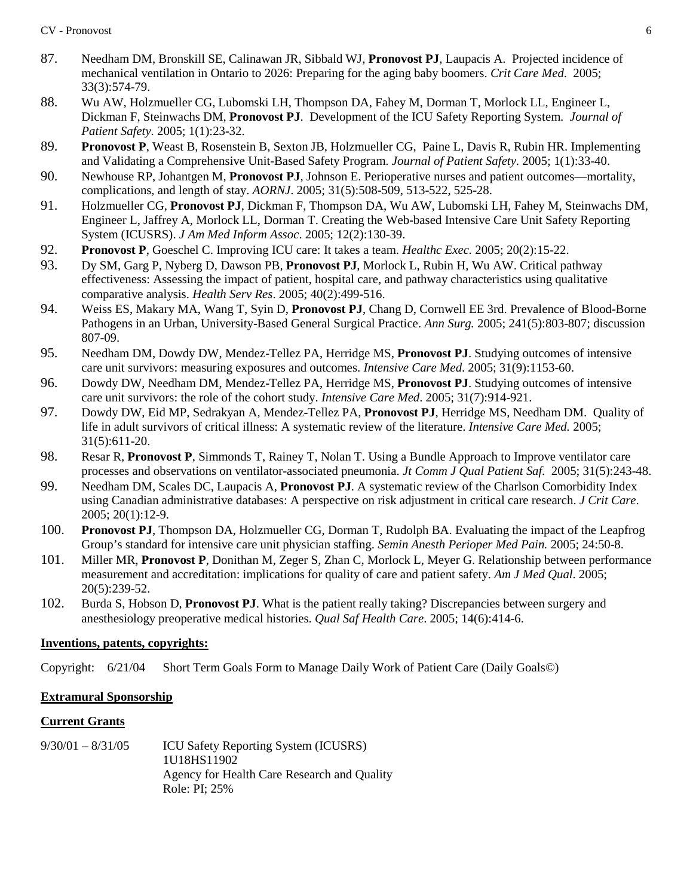- 87. Needham DM, Bronskill SE, Calinawan JR, Sibbald WJ, **Pronovost PJ**, Laupacis A. Projected incidence of mechanical ventilation in Ontario to 2026: Preparing for the aging baby boomers. *Crit Care Med*. 2005; 33(3):574-79.
- 88. Wu AW, Holzmueller CG, Lubomski LH, Thompson DA, Fahey M, Dorman T, Morlock LL, Engineer L, Dickman F, Steinwachs DM, **Pronovost PJ**. Development of the ICU Safety Reporting System. *Journal of Patient Safety* . 2005; 1(1):23-32.
- 89. **Pronovost P**, Weast B, Rosenstein B, Sexton JB, Holzmueller CG, Paine L, Davis R, Rubin HR. Implementing and Validating a Comprehensive Unit-Based Safety Program. *Journal of Patient Safety* . 2005; 1(1):33-40.
- 90. Newhouse RP, Johantgen M, **Pronovost PJ**, Johnson E. Perioperative nurses and patient outcomes—mortality, complications, and length of stay. *AORNJ*. 2005; 31(5):508-509, 513-522, 525-28.
- 91. Holzmueller CG, **Pronovost PJ**, Dickman F, Thompson DA, Wu AW, Lubomski LH, Fahey M, Steinwachs DM, Engineer L, Jaffrey A, Morlock LL, Dorman T. Creating the Web-based Intensive Care Unit Safety Reporting System (ICUSRS). *J Am Med Inform Assoc*. 2005; 12(2):130-39.
- 92. **Pronovost P**, Goeschel C. Improving ICU care: It takes a team. *Healthc Exec.* 2005; 20(2):15-22.
- 93. Dy SM, Garg P, Nyberg D, Dawson PB, **Pronovost PJ**, Morlock L, Rubin H, Wu AW. Critical pathway effectiveness: Assessing the impact of patient, hospital care, and pathway characteristics using qualitative comparative analysis. *Health Serv Res*. 2005; 40(2):499-516.
- 94. Weiss ES, Makary MA, Wang T, Syin D, **Pronovost PJ**, Chang D, Cornwell EE 3rd. Prevalence of Blood-Borne Pathogens in an Urban, University-Based General Surgical Practice. *Ann Surg.* 2005; 241(5):803-807; discussion 807-09.
- 95. Needham DM, Dowdy DW, Mendez-Tellez PA, Herridge MS, **Pronovost PJ**. Studying outcomes of intensive care unit survivors: measuring exposures and outcomes. *Intensive Care Med*. 2005; 31(9):1153-60.
- 96. Dowdy DW, Needham DM, Mendez-Tellez PA, Herridge MS, **Pronovost PJ**. Studying outcomes of intensive care unit survivors: the role of the cohort study. *Intensive Care Med*. 2005; 31(7):914-921.
- 97. Dowdy DW, Eid MP, Sedrakyan A, Mendez-Tellez PA, **Pronovost PJ**, Herridge MS, Needham DM. Quality of life in adult survivors of critical illness: A systematic review of the literature. *Intensive Care Med.* 2005; 31(5):611-20.
- 98. Resar R, **Pronovost P**, Simmonds T, Rainey T, Nolan T. Using a Bundle Approach to Improve ventilator care processes and observations on ventilator-associated pneumonia. *Jt Comm J Qual Patient Saf.* 2005; 31(5):243-48.
- 99. Needham DM, Scales DC, Laupacis A, **Pronovost PJ**. A systematic review of the Charlson Comorbidity Index using Canadian administrative databases: A perspective on risk adjustment in critical care research. *J Crit Care*. 2005; 20(1):12-9.
- 100. **Pronovost PJ**, Thompson DA, Holzmueller CG, Dorman T, Rudolph BA. Evaluating the impact of the Leapfrog Group's standard for intensive care unit physician staffing. *Semin Anesth Perioper Med Pain.* 2005; 24:50-8.
- 101. Miller MR, **Pronovost P**, Donithan M, Zeger S, Zhan C, Morlock L, Meyer G. Relationship between performance measurement and accreditation: implications for quality of care and patient safety. *Am J Med Qual*. 2005; 20(5):239-52.
- 102. Burda S, Hobson D, **Pronovost PJ**. What is the patient really taking? Discrepancies between surgery and anesthesiology preoperative medical histories. *Qual Saf Health Care*. 2005; 14(6):414-6.

# **Inventions, patents, copyrights:**

Copyright: 6/21/04 Short Term Goals Form to Manage Daily Work of Patient Care (Daily Goals©)

# **Extramural Sponsorship**

# **Current Grants**

9/30/01 – 8/31/05 ICU Safety Reporting System (ICUSRS) 1U18HS11902 Agency for Health Care Research and Quality Role: PI; 25%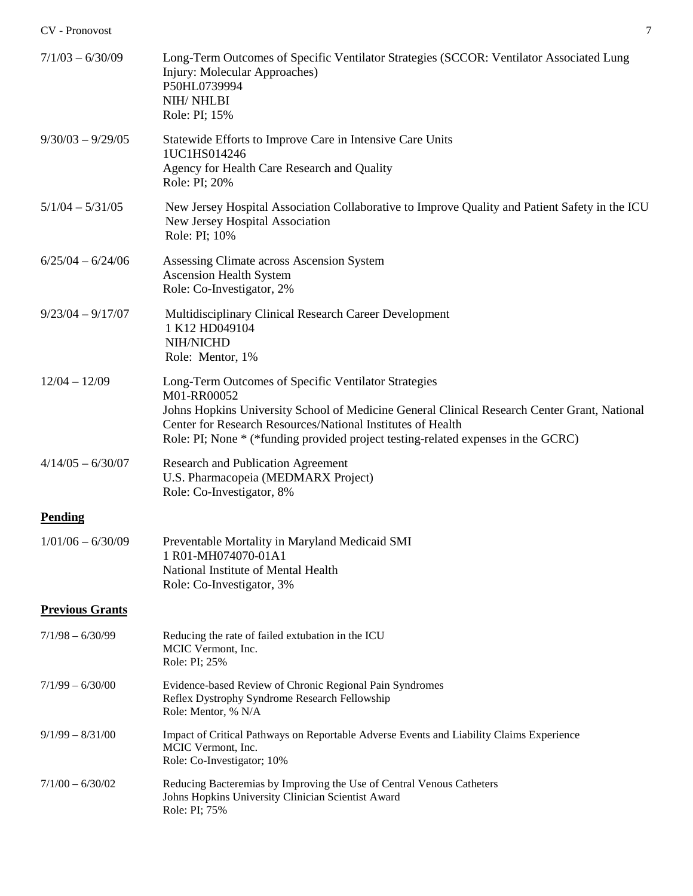| $7/1/03 - 6/30/09$     | Long-Term Outcomes of Specific Ventilator Strategies (SCCOR: Ventilator Associated Lung<br>Injury: Molecular Approaches)<br>P50HL0739994<br>NIH/NHLBI<br>Role: PI; 15%                                                                                                                                                  |
|------------------------|-------------------------------------------------------------------------------------------------------------------------------------------------------------------------------------------------------------------------------------------------------------------------------------------------------------------------|
| $9/30/03 - 9/29/05$    | Statewide Efforts to Improve Care in Intensive Care Units<br>1UC1HS014246<br>Agency for Health Care Research and Quality<br>Role: PI; 20%                                                                                                                                                                               |
| $5/1/04 - 5/31/05$     | New Jersey Hospital Association Collaborative to Improve Quality and Patient Safety in the ICU<br>New Jersey Hospital Association<br>Role: PI; 10%                                                                                                                                                                      |
| $6/25/04 - 6/24/06$    | Assessing Climate across Ascension System<br><b>Ascension Health System</b><br>Role: Co-Investigator, 2%                                                                                                                                                                                                                |
| $9/23/04 - 9/17/07$    | Multidisciplinary Clinical Research Career Development<br>1 K12 HD049104<br>NIH/NICHD<br>Role: Mentor, 1%                                                                                                                                                                                                               |
| $12/04 - 12/09$        | Long-Term Outcomes of Specific Ventilator Strategies<br>M01-RR00052<br>Johns Hopkins University School of Medicine General Clinical Research Center Grant, National<br>Center for Research Resources/National Institutes of Health<br>Role: PI; None * (*funding provided project testing-related expenses in the GCRC) |
| $4/14/05 - 6/30/07$    | <b>Research and Publication Agreement</b><br>U.S. Pharmacopeia (MEDMARX Project)<br>Role: Co-Investigator, 8%                                                                                                                                                                                                           |
| <b>Pending</b>         |                                                                                                                                                                                                                                                                                                                         |
| $1/01/06 - 6/30/09$    | Preventable Mortality in Maryland Medicaid SMI<br>1 R01-MH074070-01A1<br>National Institute of Mental Health<br>Role: Co-Investigator, 3%                                                                                                                                                                               |
| <b>Previous Grants</b> |                                                                                                                                                                                                                                                                                                                         |
| $7/1/98 - 6/30/99$     | Reducing the rate of failed extubation in the ICU<br>MCIC Vermont, Inc.<br>Role: PI; 25%                                                                                                                                                                                                                                |
| $7/1/99 - 6/30/00$     | Evidence-based Review of Chronic Regional Pain Syndromes<br>Reflex Dystrophy Syndrome Research Fellowship<br>Role: Mentor, % N/A                                                                                                                                                                                        |
| $9/1/99 - 8/31/00$     | Impact of Critical Pathways on Reportable Adverse Events and Liability Claims Experience<br>MCIC Vermont, Inc.<br>Role: Co-Investigator; 10%                                                                                                                                                                            |
| $7/1/00 - 6/30/02$     | Reducing Bacteremias by Improving the Use of Central Venous Catheters<br>Johns Hopkins University Clinician Scientist Award<br>Role: PI; 75%                                                                                                                                                                            |
|                        |                                                                                                                                                                                                                                                                                                                         |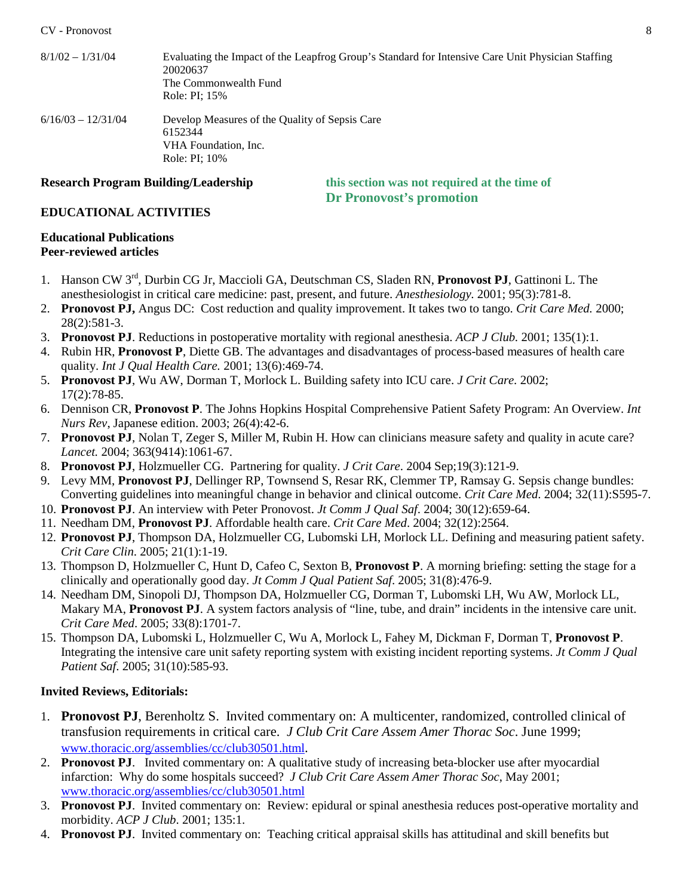| $8/1/02 - 1/31/04$   | Evaluating the Impact of the Leapfrog Group's Standard for Intensive Care Unit Physician Staffing<br>20020637<br>The Commonwealth Fund<br>Role: PI: 15% |
|----------------------|---------------------------------------------------------------------------------------------------------------------------------------------------------|
| $6/16/03 - 12/31/04$ | Develop Measures of the Quality of Sepsis Care<br>6152344<br>VHA Foundation, Inc.<br>Role: PI: 10%                                                      |

**Research Program Building/Leadership this section was not required at the time of Dr Pronovost's promotion**

### **EDUCATIONAL ACTIVITIES**

#### **Educational Publications Peer-reviewed articles**

- 1. Hanson CW 3rd, Durbin CG Jr, Maccioli GA, Deutschman CS, Sladen RN, **Pronovost PJ**, Gattinoni L. The anesthesiologist in critical care medicine: past, present, and future. *Anesthesiology.* 2001; 95(3):781-8.
- 2. **Pronovost PJ,** Angus DC: Cost reduction and quality improvement. It takes two to tango. *Crit Care Med.* 2000; 28(2):581-3.
- 3. **Pronovost PJ**. Reductions in postoperative mortality with regional anesthesia. *ACP J Club.* 2001; 135(1):1.
- 4. Rubin HR, **Pronovost P**, Diette GB. The advantages and disadvantages of process-based measures of health care quality. *Int J Qual Health Care.* 2001; 13(6):469-74.
- 5. **Pronovost PJ**, Wu AW, Dorman T, Morlock L. Building safety into ICU care. *J Crit Care.* 2002; 17(2):78-85.
- 6. Dennison CR, **Pronovost P**. The Johns Hopkins Hospital Comprehensive Patient Safety Program: An Overview. *Int Nurs Rev*, Japanese edition. 2003; 26(4):42-6.
- 7. **Pronovost PJ**, Nolan T, Zeger S, Miller M, Rubin H. How can clinicians measure safety and quality in acute care? *Lancet.* 2004; 363(9414):1061-67.
- 8. **Pronovost PJ**, Holzmueller CG. Partnering for quality. *J Crit Care*. 2004 Sep;19(3):121-9.
- 9. Levy MM, **Pronovost PJ**, Dellinger RP, Townsend S, Resar RK, Clemmer TP, Ramsay G. Sepsis change bundles: Converting guidelines into meaningful change in behavior and clinical outcome. *Crit Care Med*. 2004; 32(11):S595-7.
- 10. **Pronovost PJ**. An interview with Peter Pronovost. *Jt Comm J Qual Saf*. 2004; 30(12):659-64.
- 11. Needham DM, **Pronovost PJ**. Affordable health care. *Crit Care Med*. 2004; 32(12):2564.
- 12. **Pronovost PJ**, Thompson DA, Holzmueller CG, Lubomski LH, Morlock LL. Defining and measuring patient safety. *Crit Care Clin*. 2005; 21(1):1-19.
- 13. Thompson D, Holzmueller C, Hunt D, Cafeo C, Sexton B, **Pronovost P**. A morning briefing: setting the stage for a clinically and operationally good day. *Jt Comm J Qual Patient Saf*. 2005; 31(8):476-9.
- 14. Needham DM, Sinopoli DJ, Thompson DA, Holzmueller CG, Dorman T, Lubomski LH, Wu AW, Morlock LL, Makary MA, **Pronovost PJ**. A system factors analysis of "line, tube, and drain" incidents in the intensive care unit. *Crit Care Med*. 2005; 33(8):1701-7.
- 15. Thompson DA, Lubomski L, Holzmueller C, Wu A, Morlock L, Fahey M, Dickman F, Dorman T, **Pronovost P**. Integrating the intensive care unit safety reporting system with existing incident reporting systems. *Jt Comm J Qual Patient Saf*. 2005; 31(10):585-93.

# **Invited Reviews, Editorials:**

- 1. **Pronovost PJ**, Berenholtz S. Invited commentary on: A multicenter, randomized, controlled clinical of transfusion requirements in critical care. *J Club Crit Care Assem Amer Thorac Soc*. June 1999; [www.thoracic.org/assemblies/cc/club30501.html.](http://www.thoracic.org/assemblies/cc/club30501.html)
- 2. **Pronovost PJ**. Invited commentary on: A qualitative study of increasing beta-blocker use after myocardial infarction: Why do some hospitals succeed? *J Club Crit Care Assem Amer Thorac Soc*, May 2001; [www.thoracic.org/assemblies/cc/club30501.html](http://www.thoracic.org/assemblies/cc/club30501.html)
- 3. **Pronovost PJ**. Invited commentary on: Review: epidural or spinal anesthesia reduces post-operative mortality and morbidity. *ACP J Club*. 2001; 135:1.
- 4. **Pronovost PJ**. Invited commentary on: Teaching critical appraisal skills has attitudinal and skill benefits but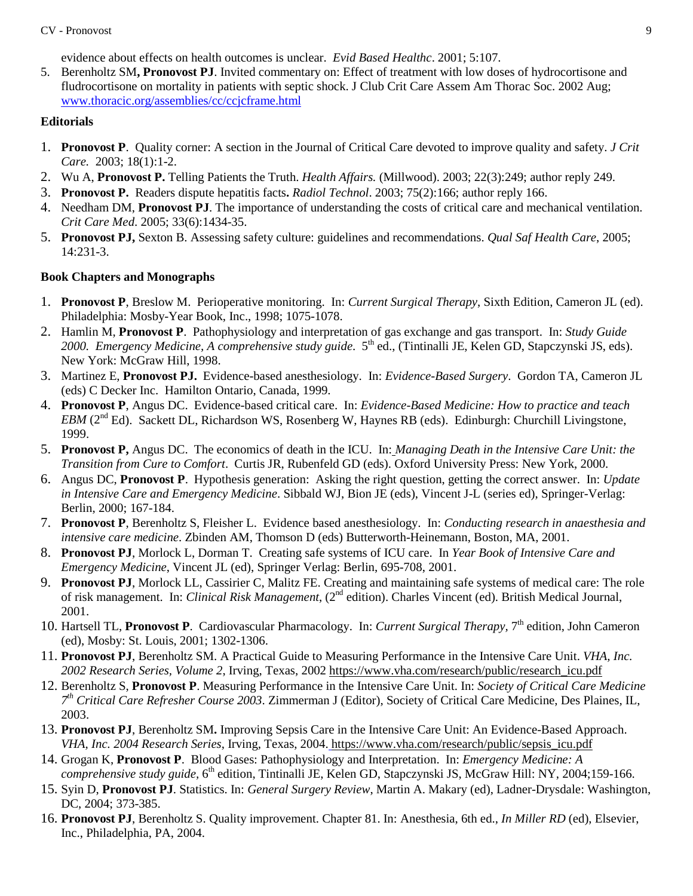evidence about effects on health outcomes is unclear. *Evid Based Healthc*. 2001; 5:107.

5. Berenholtz SM**, Pronovost PJ**. Invited commentary on: Effect of treatment with low doses of hydrocortisone and fludrocortisone on mortality in patients with septic shock. J Club Crit Care Assem Am Thorac Soc. 2002 Aug; [www.thoracic.org/assemblies/cc/ccjcframe.html](http://www.thoracic.org/assemblies/cc/ccjcframe.html)

# **Editorials**

- 1. **Pronovost P**. Quality corner: A section in the Journal of Critical Care devoted to improve quality and safety. *J Crit Care.* 2003; 18(1):1-2.
- 2. Wu A, **Pronovost P.** Telling Patients the Truth. *Health Affairs.* (Millwood). 2003; 22(3):249; author reply 249.
- 3. **Pronovost P.** Readers dispute hepatitis facts**.** *Radiol Technol*. 2003; 75(2):166; author reply 166.
- 4. Needham DM, **Pronovost PJ**. The importance of understanding the costs of critical care and mechanical ventilation. *Crit Care Med*. 2005; 33(6):1434-35.
- 5. **Pronovost PJ,** Sexton B. Assessing safety culture: guidelines and recommendations. *Qual Saf Health Care*, 2005; 14:231-3.

# **Book Chapters and Monographs**

- 1. **Pronovost P**, Breslow M. Perioperative monitoring. In: *Current Surgical Therapy*, Sixth Edition, Cameron JL (ed). Philadelphia: Mosby-Year Book, Inc., 1998; 1075-1078.
- 2. Hamlin M, **Pronovost P**. Pathophysiology and interpretation of gas exchange and gas transport. In: *Study Guide*  2000. *Emergency Medicine, A comprehensive study guide.* 5<sup>th</sup> ed., (Tintinalli JE, Kelen GD, Stapczynski JS, eds). New York: McGraw Hill, 1998.
- 3. Martinez E, **Pronovost PJ.** Evidence-based anesthesiology. In: *Evidence-Based Surgery*. Gordon TA, Cameron JL (eds) C Decker Inc. Hamilton Ontario, Canada, 1999.
- 4. **Pronovost P**, Angus DC. Evidence-based critical care. In: *Evidence-Based Medicine: How to practice and teach EBM* (2<sup>nd</sup> Ed). Sackett DL, Richardson WS, Rosenberg W, Haynes RB (eds). Edinburgh: Churchill Livingstone, 1999.
- 5. **Pronovost P,** Angus DC. The economics of death in the ICU. In: *Managing Death in the Intensive Care Unit: the Transition from Cure to Comfort*. Curtis JR, Rubenfeld GD (eds). Oxford University Press: New York, 2000.
- 6. Angus DC, **Pronovost P**. Hypothesis generation: Asking the right question, getting the correct answer. In: *Update in Intensive Care and Emergency Medicine*. Sibbald WJ, Bion JE (eds), Vincent J-L (series ed), Springer-Verlag: Berlin, 2000; 167-184.
- 7. **Pronovost P**, Berenholtz S, Fleisher L. Evidence based anesthesiology. In: *Conducting research in anaesthesia and intensive care medicine*. Zbinden AM, Thomson D (eds) Butterworth-Heinemann, Boston, MA, 2001.
- 8. **Pronovost PJ**, Morlock L, Dorman T. Creating safe systems of ICU care. In *Year Book of Intensive Care and Emergency Medicine*, Vincent JL (ed), Springer Verlag: Berlin, 695-708, 2001.
- 9. **Pronovost PJ**, Morlock LL, Cassirier C, Malitz FE. Creating and maintaining safe systems of medical care: The role of risk management. In: *Clinical Risk Management*, (2nd edition). Charles Vincent (ed). British Medical Journal, 2001.
- 10. Hartsell TL, **Pronovost P**. Cardiovascular Pharmacology. In: *Current Surgical Therapy,* 7th edition, John Cameron (ed), Mosby: St. Louis, 2001; 1302-1306.
- 11. **Pronovost PJ**, Berenholtz SM. A Practical Guide to Measuring Performance in the Intensive Care Unit. *VHA, Inc. 2002 Research Series, Volume 2*, Irving, Texas, 2002 [https://www.vha.com/research/public/research\\_icu.pdf](https://www.vha.com/research/public/research_icu.pdf)
- 12. Berenholtz S, **Pronovost P**. Measuring Performance in the Intensive Care Unit. In: *Society of Critical Care Medicine 7th Critical Care Refresher Course 2003*. Zimmerman J (Editor), Society of Critical Care Medicine, Des Plaines, IL, 2003.
- 13. **Pronovost PJ**, Berenholtz SM**.** Improving Sepsis Care in the Intensive Care Unit: An Evidence-Based Approach. *VHA, Inc. 2004 Research Series*, Irving, Texas, 2004. [https://www.vha.com/research/public/sepsis\\_icu.pdf](https://www.vha.com/research/public/sepsis_icu.pdf)
- 14. Grogan K, **Pronovost P**. Blood Gases: Pathophysiology and Interpretation. In: *Emergency Medicine: A comprehensive study guide,* 6<sup>th</sup> edition, Tintinalli JE, Kelen GD, Stapczynski JS, McGraw Hill: NY, 2004;159-166.
- 15. Syin D, **Pronovost PJ**. Statistics. In: *General Surgery Review*, Martin A. Makary (ed), Ladner-Drysdale: Washington, DC, 2004; 373-385.
- 16. **Pronovost PJ**, Berenholtz S. Quality improvement. Chapter 81. In: Anesthesia, 6th ed., *In Miller RD* (ed), Elsevier, Inc., Philadelphia, PA, 2004.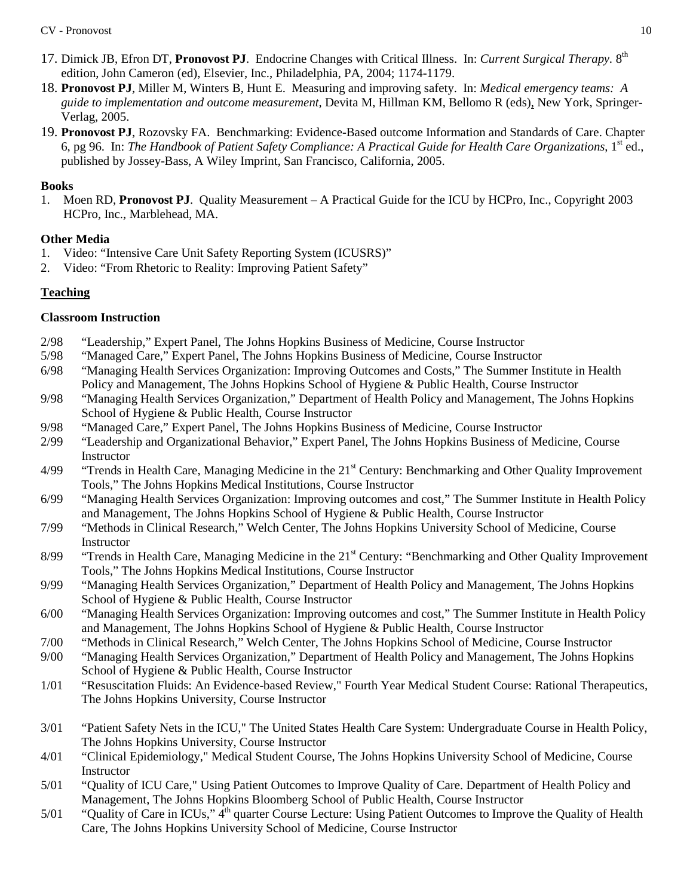- 17. Dimick JB, Efron DT, **Pronovost PJ**. Endocrine Changes with Critical Illness. In: *Current Surgical Therapy.* 8th edition, John Cameron (ed), Elsevier, Inc., Philadelphia, PA, 2004; 1174-1179.
- 18. **Pronovost PJ**, Miller M, Winters B, Hunt E. Measuring and improving safety. In: *Medical emergency teams: A guide to implementation and outcome measurement,* Devita M, Hillman KM, Bellomo R (eds), New York, Springer-Verlag, 2005.
- 19. **Pronovost PJ**, Rozovsky FA. Benchmarking: Evidence-Based outcome Information and Standards of Care. Chapter 6, pg 96. In: *The Handbook of Patient Safety Compliance: A Practical Guide for Health Care Organizations*, 1<sup>st</sup> ed., published by Jossey-Bass, A Wiley Imprint, San Francisco, California, 2005.

## **Books**

1. Moen RD, **Pronovost PJ**. Quality Measurement – A Practical Guide for the ICU by HCPro, Inc., Copyright 2003 HCPro, Inc., Marblehead, MA.

## **Other Media**

- 1. Video: "Intensive Care Unit Safety Reporting System (ICUSRS)"
- 2. Video: "From Rhetoric to Reality: Improving Patient Safety"

# **Teaching**

## **Classroom Instruction**

- 2/98 "Leadership," Expert Panel, The Johns Hopkins Business of Medicine, Course Instructor
- 5/98 "Managed Care," Expert Panel, The Johns Hopkins Business of Medicine, Course Instructor
- 6/98 "Managing Health Services Organization: Improving Outcomes and Costs," The Summer Institute in Health Policy and Management, The Johns Hopkins School of Hygiene & Public Health, Course Instructor
- 9/98 "Managing Health Services Organization," Department of Health Policy and Management, The Johns Hopkins School of Hygiene & Public Health, Course Instructor
- 9/98 "Managed Care," Expert Panel, The Johns Hopkins Business of Medicine, Course Instructor
- 2/99 "Leadership and Organizational Behavior," Expert Panel, The Johns Hopkins Business of Medicine, Course Instructor
- $4/99$  "Trends in Health Care, Managing Medicine in the  $21<sup>st</sup>$  Century: Benchmarking and Other Quality Improvement Tools," The Johns Hopkins Medical Institutions, Course Instructor
- 6/99 "Managing Health Services Organization: Improving outcomes and cost," The Summer Institute in Health Policy and Management, The Johns Hopkins School of Hygiene & Public Health, Course Instructor
- 7/99 "Methods in Clinical Research," Welch Center, The Johns Hopkins University School of Medicine, Course Instructor
- 8/99 "Trends in Health Care, Managing Medicine in the 21<sup>st</sup> Century: "Benchmarking and Other Quality Improvement Tools," The Johns Hopkins Medical Institutions, Course Instructor
- 9/99 "Managing Health Services Organization," Department of Health Policy and Management, The Johns Hopkins School of Hygiene & Public Health, Course Instructor
- 6/00 "Managing Health Services Organization: Improving outcomes and cost," The Summer Institute in Health Policy and Management, The Johns Hopkins School of Hygiene & Public Health, Course Instructor
- 7/00 "Methods in Clinical Research," Welch Center, The Johns Hopkins School of Medicine, Course Instructor
- 9/00 "Managing Health Services Organization," Department of Health Policy and Management, The Johns Hopkins School of Hygiene & Public Health, Course Instructor
- 1/01 "Resuscitation Fluids: An Evidence-based Review," Fourth Year Medical Student Course: Rational Therapeutics, The Johns Hopkins University, Course Instructor
- 3/01 "Patient Safety Nets in the ICU," The United States Health Care System: Undergraduate Course in Health Policy, The Johns Hopkins University, Course Instructor
- 4/01 "Clinical Epidemiology," Medical Student Course, The Johns Hopkins University School of Medicine, Course Instructor
- 5/01 "Quality of ICU Care," Using Patient Outcomes to Improve Quality of Care. Department of Health Policy and Management, The Johns Hopkins Bloomberg School of Public Health, Course Instructor
- 5/01 "Quality of Care in ICUs," 4<sup>th</sup> quarter Course Lecture: Using Patient Outcomes to Improve the Quality of Health Care, The Johns Hopkins University School of Medicine, Course Instructor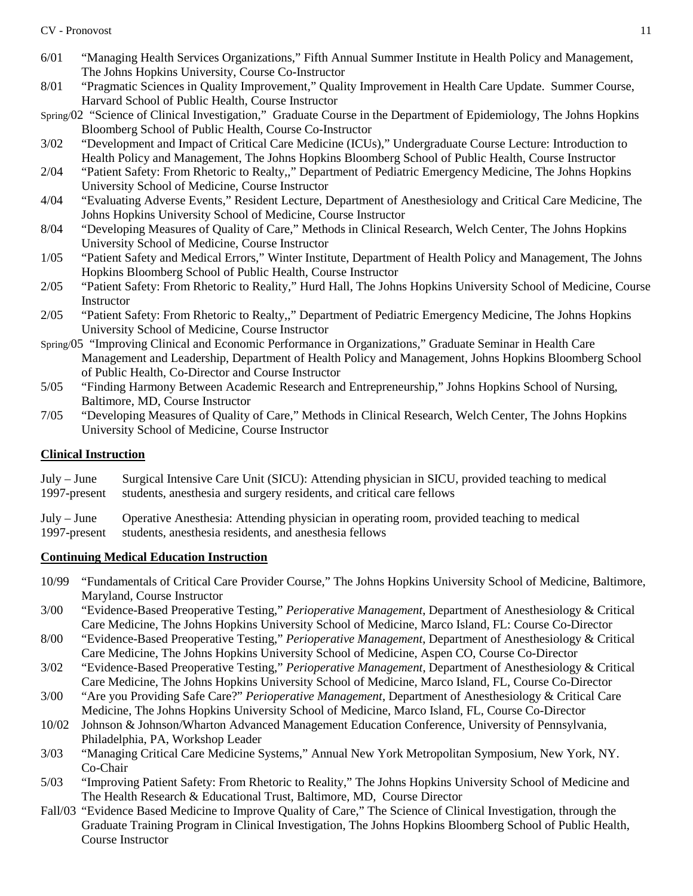- 6/01 "Managing Health Services Organizations," Fifth Annual Summer Institute in Health Policy and Management, The Johns Hopkins University, Course Co-Instructor
- 8/01 "Pragmatic Sciences in Quality Improvement," Quality Improvement in Health Care Update. Summer Course, Harvard School of Public Health, Course Instructor
- Spring/02 "Science of Clinical Investigation," Graduate Course in the Department of Epidemiology, The Johns Hopkins Bloomberg School of Public Health, Course Co-Instructor
- 3/02 "Development and Impact of Critical Care Medicine (ICUs)," Undergraduate Course Lecture: Introduction to Health Policy and Management, The Johns Hopkins Bloomberg School of Public Health, Course Instructor
- 2/04 "Patient Safety: From Rhetoric to Realty,," Department of Pediatric Emergency Medicine, The Johns Hopkins University School of Medicine, Course Instructor
- 4/04 "Evaluating Adverse Events," Resident Lecture, Department of Anesthesiology and Critical Care Medicine, The Johns Hopkins University School of Medicine, Course Instructor
- 8/04 "Developing Measures of Quality of Care," Methods in Clinical Research, Welch Center, The Johns Hopkins University School of Medicine, Course Instructor
- 1/05 "Patient Safety and Medical Errors," Winter Institute, Department of Health Policy and Management, The Johns Hopkins Bloomberg School of Public Health, Course Instructor
- 2/05 "Patient Safety: From Rhetoric to Reality," Hurd Hall, The Johns Hopkins University School of Medicine, Course **Instructor**
- 2/05 "Patient Safety: From Rhetoric to Realty,," Department of Pediatric Emergency Medicine, The Johns Hopkins University School of Medicine, Course Instructor
- Spring/05 "Improving Clinical and Economic Performance in Organizations," Graduate Seminar in Health Care Management and Leadership, Department of Health Policy and Management, Johns Hopkins Bloomberg School of Public Health, Co-Director and Course Instructor
- 5/05 "Finding Harmony Between Academic Research and Entrepreneurship," Johns Hopkins School of Nursing, Baltimore, MD, Course Instructor
- 7/05 "Developing Measures of Quality of Care," Methods in Clinical Research, Welch Center, The Johns Hopkins University School of Medicine, Course Instructor

# **Clinical Instruction**

- July June Surgical Intensive Care Unit (SICU): Attending physician in SICU, provided teaching to medical students, anesthesia and surgery residents, and critical care fellows
- July June Operative Anesthesia: Attending physician in operating room, provided teaching to medical
- 1997-present students, anesthesia residents, and anesthesia fellows

# **Continuing Medical Education Instruction**

- 10/99 "Fundamentals of Critical Care Provider Course," The Johns Hopkins University School of Medicine, Baltimore, Maryland, Course Instructor
- 3/00 "Evidence-Based Preoperative Testing," *Perioperative Management*, Department of Anesthesiology & Critical Care Medicine, The Johns Hopkins University School of Medicine, Marco Island, FL: Course Co-Director
- 8/00 "Evidence-Based Preoperative Testing," *Perioperative Management*, Department of Anesthesiology & Critical Care Medicine, The Johns Hopkins University School of Medicine, Aspen CO, Course Co-Director
- 3/02 "Evidence-Based Preoperative Testing," *Perioperative Management*, Department of Anesthesiology & Critical Care Medicine, The Johns Hopkins University School of Medicine, Marco Island, FL, Course Co-Director
- 3/00 "Are you Providing Safe Care?" *Perioperative Management*, Department of Anesthesiology & Critical Care Medicine, The Johns Hopkins University School of Medicine, Marco Island, FL, Course Co-Director
- 10/02 Johnson & Johnson/Wharton Advanced Management Education Conference, University of Pennsylvania, Philadelphia, PA, Workshop Leader
- 3/03 "Managing Critical Care Medicine Systems," Annual New York Metropolitan Symposium, New York, NY. Co-Chair
- 5/03 "Improving Patient Safety: From Rhetoric to Reality," The Johns Hopkins University School of Medicine and The Health Research & Educational Trust, Baltimore, MD, Course Director
- Fall/03 "Evidence Based Medicine to Improve Quality of Care," The Science of Clinical Investigation, through the Graduate Training Program in Clinical Investigation, The Johns Hopkins Bloomberg School of Public Health, Course Instructor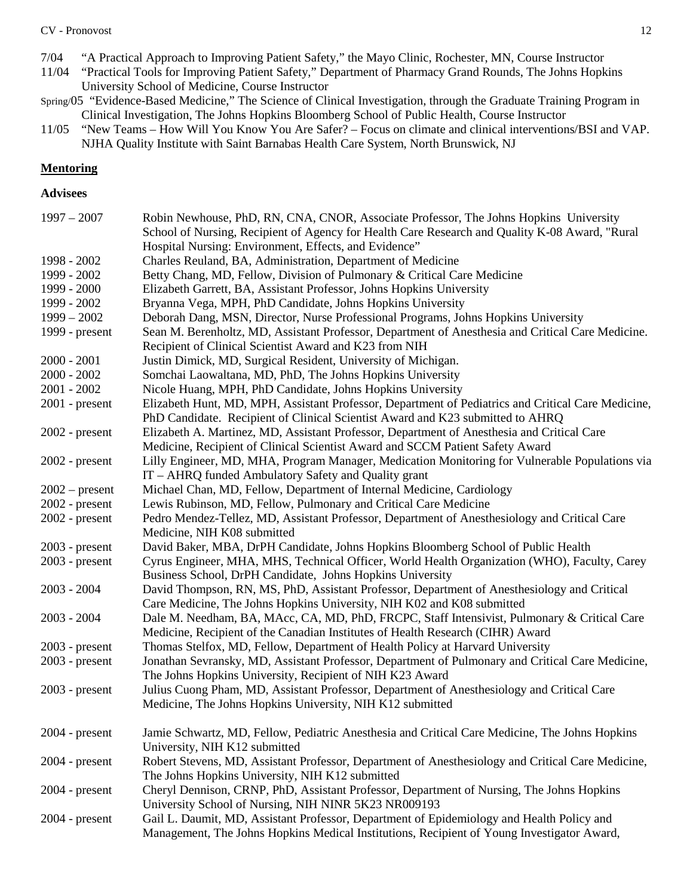#### CV - Pronovost 12

- 7/04 "A Practical Approach to Improving Patient Safety," the Mayo Clinic, Rochester, MN, Course Instructor
- "Practical Tools for Improving Patient Safety," Department of Pharmacy Grand Rounds, The Johns Hopkins University School of Medicine, Course Instructor
- Spring/05 "Evidence-Based Medicine," The Science of Clinical Investigation, through the Graduate Training Program in Clinical Investigation, The Johns Hopkins Bloomberg School of Public Health, Course Instructor
- 11/05 "New Teams How Will You Know You Are Safer? Focus on climate and clinical interventions/BSI and VAP. NJHA Quality Institute with Saint Barnabas Health Care System, North Brunswick, NJ

### **Mentoring**

### **Advisees**

| $1997 - 2007$    | Robin Newhouse, PhD, RN, CNA, CNOR, Associate Professor, The Johns Hopkins University              |
|------------------|----------------------------------------------------------------------------------------------------|
|                  | School of Nursing, Recipient of Agency for Health Care Research and Quality K-08 Award, "Rural     |
|                  | Hospital Nursing: Environment, Effects, and Evidence"                                              |
| 1998 - 2002      | Charles Reuland, BA, Administration, Department of Medicine                                        |
| 1999 - 2002      | Betty Chang, MD, Fellow, Division of Pulmonary & Critical Care Medicine                            |
| 1999 - 2000      | Elizabeth Garrett, BA, Assistant Professor, Johns Hopkins University                               |
| 1999 - 2002      | Bryanna Vega, MPH, PhD Candidate, Johns Hopkins University                                         |
| $1999 - 2002$    | Deborah Dang, MSN, Director, Nurse Professional Programs, Johns Hopkins University                 |
| 1999 - present   | Sean M. Berenholtz, MD, Assistant Professor, Department of Anesthesia and Critical Care Medicine.  |
|                  | Recipient of Clinical Scientist Award and K23 from NIH                                             |
| $2000 - 2001$    | Justin Dimick, MD, Surgical Resident, University of Michigan.                                      |
| $2000 - 2002$    | Somchai Laowaltana, MD, PhD, The Johns Hopkins University                                          |
| $2001 - 2002$    | Nicole Huang, MPH, PhD Candidate, Johns Hopkins University                                         |
| $2001$ - present | Elizabeth Hunt, MD, MPH, Assistant Professor, Department of Pediatrics and Critical Care Medicine, |
|                  | PhD Candidate. Recipient of Clinical Scientist Award and K23 submitted to AHRQ                     |
| $2002$ - present | Elizabeth A. Martinez, MD, Assistant Professor, Department of Anesthesia and Critical Care         |
|                  | Medicine, Recipient of Clinical Scientist Award and SCCM Patient Safety Award                      |
| $2002$ - present | Lilly Engineer, MD, MHA, Program Manager, Medication Monitoring for Vulnerable Populations via     |
|                  | IT - AHRQ funded Ambulatory Safety and Quality grant                                               |
| $2002$ – present | Michael Chan, MD, Fellow, Department of Internal Medicine, Cardiology                              |
| $2002$ - present | Lewis Rubinson, MD, Fellow, Pulmonary and Critical Care Medicine                                   |
| $2002$ - present | Pedro Mendez-Tellez, MD, Assistant Professor, Department of Anesthesiology and Critical Care       |
|                  | Medicine, NIH K08 submitted                                                                        |
| $2003$ - present | David Baker, MBA, DrPH Candidate, Johns Hopkins Bloomberg School of Public Health                  |
| $2003$ - present | Cyrus Engineer, MHA, MHS, Technical Officer, World Health Organization (WHO), Faculty, Carey       |
|                  | Business School, DrPH Candidate, Johns Hopkins University                                          |
| $2003 - 2004$    | David Thompson, RN, MS, PhD, Assistant Professor, Department of Anesthesiology and Critical        |
|                  | Care Medicine, The Johns Hopkins University, NIH K02 and K08 submitted                             |
| $2003 - 2004$    | Dale M. Needham, BA, MAcc, CA, MD, PhD, FRCPC, Staff Intensivist, Pulmonary & Critical Care        |
|                  | Medicine, Recipient of the Canadian Institutes of Health Research (CIHR) Award                     |
| $2003$ - present | Thomas Stelfox, MD, Fellow, Department of Health Policy at Harvard University                      |
| $2003$ - present | Jonathan Sevransky, MD, Assistant Professor, Department of Pulmonary and Critical Care Medicine,   |
|                  | The Johns Hopkins University, Recipient of NIH K23 Award                                           |
| $2003$ - present | Julius Cuong Pham, MD, Assistant Professor, Department of Anesthesiology and Critical Care         |
|                  | Medicine, The Johns Hopkins University, NIH K12 submitted                                          |
| $2004$ - present | Jamie Schwartz, MD, Fellow, Pediatric Anesthesia and Critical Care Medicine, The Johns Hopkins     |
|                  | University, NIH K12 submitted                                                                      |
| $2004$ - present | Robert Stevens, MD, Assistant Professor, Department of Anesthesiology and Critical Care Medicine,  |
|                  | The Johns Hopkins University, NIH K12 submitted                                                    |
| $2004$ - present | Cheryl Dennison, CRNP, PhD, Assistant Professor, Department of Nursing, The Johns Hopkins          |
|                  | University School of Nursing, NIH NINR 5K23 NR009193                                               |
| $2004$ - present | Gail L. Daumit, MD, Assistant Professor, Department of Epidemiology and Health Policy and          |
|                  | Management, The Johns Hopkins Medical Institutions, Recipient of Young Investigator Award,         |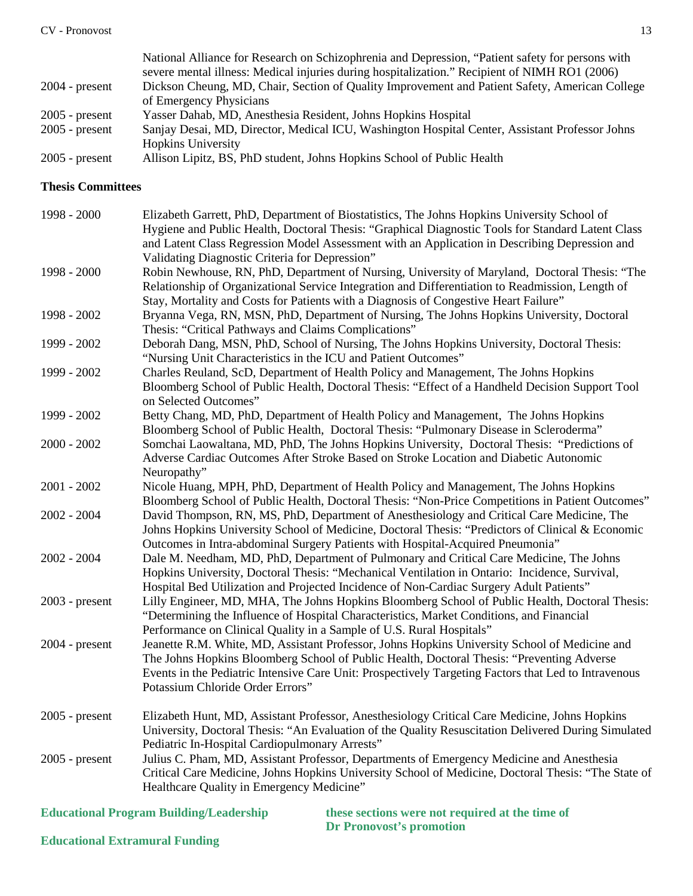|                  | National Alliance for Research on Schizophrenia and Depression, "Patient safety for persons with |
|------------------|--------------------------------------------------------------------------------------------------|
|                  | severe mental illness: Medical injuries during hospitalization." Recipient of NIMH RO1 (2006)    |
| $2004$ - present | Dickson Cheung, MD, Chair, Section of Quality Improvement and Patient Safety, American College   |
|                  | of Emergency Physicians                                                                          |
| $2005$ - present | Yasser Dahab, MD, Anesthesia Resident, Johns Hopkins Hospital                                    |
| $2005$ - present | Sanjay Desai, MD, Director, Medical ICU, Washington Hospital Center, Assistant Professor Johns   |
|                  | <b>Hopkins University</b>                                                                        |
| $2005$ - present | Allison Lipitz, BS, PhD student, Johns Hopkins School of Public Health                           |

#### **Thesis Committees**

| 1998 - 2000      | Elizabeth Garrett, PhD, Department of Biostatistics, The Johns Hopkins University School of<br>Hygiene and Public Health, Doctoral Thesis: "Graphical Diagnostic Tools for Standard Latent Class<br>and Latent Class Regression Model Assessment with an Application in Describing Depression and<br>Validating Diagnostic Criteria for Depression" |
|------------------|-----------------------------------------------------------------------------------------------------------------------------------------------------------------------------------------------------------------------------------------------------------------------------------------------------------------------------------------------------|
| 1998 - 2000      | Robin Newhouse, RN, PhD, Department of Nursing, University of Maryland, Doctoral Thesis: "The<br>Relationship of Organizational Service Integration and Differentiation to Readmission, Length of<br>Stay, Mortality and Costs for Patients with a Diagnosis of Congestive Heart Failure"                                                           |
| 1998 - 2002      | Bryanna Vega, RN, MSN, PhD, Department of Nursing, The Johns Hopkins University, Doctoral<br>Thesis: "Critical Pathways and Claims Complications"                                                                                                                                                                                                   |
| 1999 - 2002      | Deborah Dang, MSN, PhD, School of Nursing, The Johns Hopkins University, Doctoral Thesis:<br>"Nursing Unit Characteristics in the ICU and Patient Outcomes"                                                                                                                                                                                         |
| 1999 - 2002      | Charles Reuland, ScD, Department of Health Policy and Management, The Johns Hopkins<br>Bloomberg School of Public Health, Doctoral Thesis: "Effect of a Handheld Decision Support Tool<br>on Selected Outcomes"                                                                                                                                     |
| 1999 - 2002      | Betty Chang, MD, PhD, Department of Health Policy and Management, The Johns Hopkins<br>Bloomberg School of Public Health, Doctoral Thesis: "Pulmonary Disease in Scleroderma"                                                                                                                                                                       |
| $2000 - 2002$    | Somchai Laowaltana, MD, PhD, The Johns Hopkins University, Doctoral Thesis: "Predictions of<br>Adverse Cardiac Outcomes After Stroke Based on Stroke Location and Diabetic Autonomic<br>Neuropathy"                                                                                                                                                 |
| $2001 - 2002$    | Nicole Huang, MPH, PhD, Department of Health Policy and Management, The Johns Hopkins<br>Bloomberg School of Public Health, Doctoral Thesis: "Non-Price Competitions in Patient Outcomes"                                                                                                                                                           |
| $2002 - 2004$    | David Thompson, RN, MS, PhD, Department of Anesthesiology and Critical Care Medicine, The<br>Johns Hopkins University School of Medicine, Doctoral Thesis: "Predictors of Clinical & Economic<br>Outcomes in Intra-abdominal Surgery Patients with Hospital-Acquired Pneumonia"                                                                     |
| $2002 - 2004$    | Dale M. Needham, MD, PhD, Department of Pulmonary and Critical Care Medicine, The Johns<br>Hopkins University, Doctoral Thesis: "Mechanical Ventilation in Ontario: Incidence, Survival,<br>Hospital Bed Utilization and Projected Incidence of Non-Cardiac Surgery Adult Patients"                                                                 |
| $2003$ - present | Lilly Engineer, MD, MHA, The Johns Hopkins Bloomberg School of Public Health, Doctoral Thesis:<br>"Determining the Influence of Hospital Characteristics, Market Conditions, and Financial<br>Performance on Clinical Quality in a Sample of U.S. Rural Hospitals"                                                                                  |
| $2004$ - present | Jeanette R.M. White, MD, Assistant Professor, Johns Hopkins University School of Medicine and<br>The Johns Hopkins Bloomberg School of Public Health, Doctoral Thesis: "Preventing Adverse<br>Events in the Pediatric Intensive Care Unit: Prospectively Targeting Factors that Led to Intravenous<br>Potassium Chloride Order Errors"              |
| $2005$ - present | Elizabeth Hunt, MD, Assistant Professor, Anesthesiology Critical Care Medicine, Johns Hopkins<br>University, Doctoral Thesis: "An Evaluation of the Quality Resuscitation Delivered During Simulated<br>Pediatric In-Hospital Cardiopulmonary Arrests"                                                                                              |
| $2005$ - present | Julius C. Pham, MD, Assistant Professor, Departments of Emergency Medicine and Anesthesia<br>Critical Care Medicine, Johns Hopkins University School of Medicine, Doctoral Thesis: "The State of<br>Healthcare Quality in Emergency Medicine"                                                                                                       |

**Educational Program Building/Leadership these sections were not required at the time of** 

**Dr Pronovost's promotion**

**Educational Extramural Funding**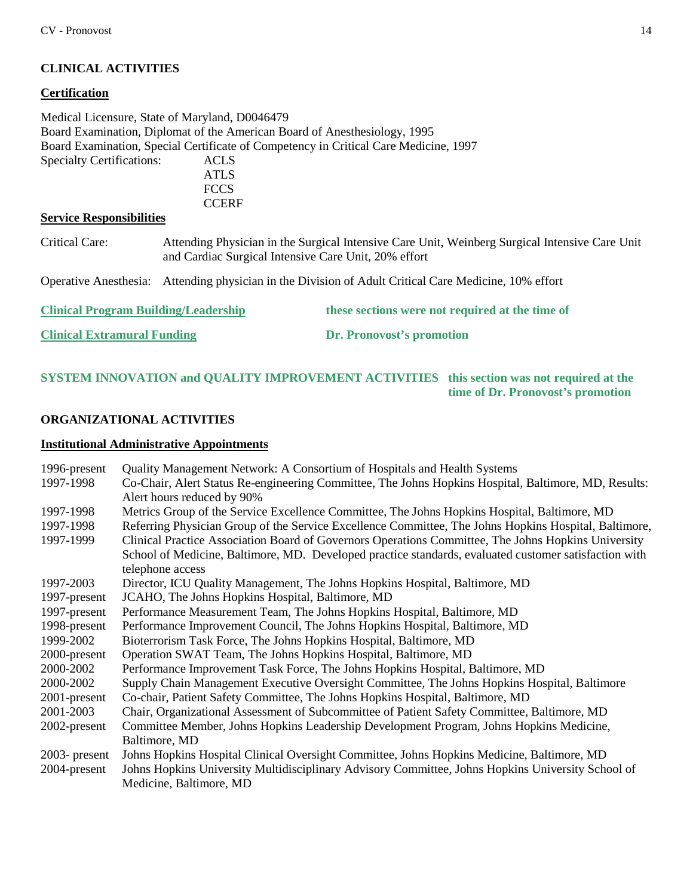# **CLINICAL ACTIVITIES**

#### **Certification**

Medical Licensure, State of Maryland, D0046479 Board Examination, Diplomat of the American Board of Anesthesiology, 1995 Board Examination, Special Certificate of Competency in Critical Care Medicine, 1997 Specialty Certifications: ACLS

> ATLS **FCCS CCERF**

### **Service Responsibilities**

Critical Care: Attending Physician in the Surgical Intensive Care Unit, Weinberg Surgical Intensive Care Unit and Cardiac Surgical Intensive Care Unit, 20% effort

Operative Anesthesia: Attending physician in the Division of Adult Critical Care Medicine, 10% effort

| <b>Clinical Program Building/Leadership</b> | these sections were not required at the time of |
|---------------------------------------------|-------------------------------------------------|
| <b>Clinical Extramural Funding</b>          | <b>Dr. Pronovost's promotion</b>                |

## **SYSTEM INNOVATION and QUALITY IMPROVEMENT ACTIVITIES this section was not required at the time of Dr. Pronovost's promotion**

#### **ORGANIZATIONAL ACTIVITIES**

#### **Institutional Administrative Appointments**

| 1996-present     | Quality Management Network: A Consortium of Hospitals and Health Systems                                                           |
|------------------|------------------------------------------------------------------------------------------------------------------------------------|
| 1997-1998        | Co-Chair, Alert Status Re-engineering Committee, The Johns Hopkins Hospital, Baltimore, MD, Results:<br>Alert hours reduced by 90% |
| 1997-1998        | Metrics Group of the Service Excellence Committee, The Johns Hopkins Hospital, Baltimore, MD                                       |
| 1997-1998        | Referring Physician Group of the Service Excellence Committee, The Johns Hopkins Hospital, Baltimore,                              |
| 1997-1999        | Clinical Practice Association Board of Governors Operations Committee, The Johns Hopkins University                                |
|                  | School of Medicine, Baltimore, MD. Developed practice standards, evaluated customer satisfaction with                              |
|                  | telephone access                                                                                                                   |
| 1997-2003        | Director, ICU Quality Management, The Johns Hopkins Hospital, Baltimore, MD                                                        |
| 1997-present     | JCAHO, The Johns Hopkins Hospital, Baltimore, MD                                                                                   |
| 1997-present     | Performance Measurement Team, The Johns Hopkins Hospital, Baltimore, MD                                                            |
| 1998-present     | Performance Improvement Council, The Johns Hopkins Hospital, Baltimore, MD                                                         |
| 1999-2002        | Bioterrorism Task Force, The Johns Hopkins Hospital, Baltimore, MD                                                                 |
| 2000-present     | Operation SWAT Team, The Johns Hopkins Hospital, Baltimore, MD                                                                     |
| 2000-2002        | Performance Improvement Task Force, The Johns Hopkins Hospital, Baltimore, MD                                                      |
| 2000-2002        | Supply Chain Management Executive Oversight Committee, The Johns Hopkins Hospital, Baltimore                                       |
| 2001-present     | Co-chair, Patient Safety Committee, The Johns Hopkins Hospital, Baltimore, MD                                                      |
| 2001-2003        | Chair, Organizational Assessment of Subcommittee of Patient Safety Committee, Baltimore, MD                                        |
| 2002-present     | Committee Member, Johns Hopkins Leadership Development Program, Johns Hopkins Medicine,                                            |
|                  | Baltimore, MD                                                                                                                      |
| $2003$ - present | Johns Hopkins Hospital Clinical Oversight Committee, Johns Hopkins Medicine, Baltimore, MD                                         |
| 2004-present     | Johns Hopkins University Multidisciplinary Advisory Committee, Johns Hopkins University School of                                  |
|                  | Medicine, Baltimore, MD                                                                                                            |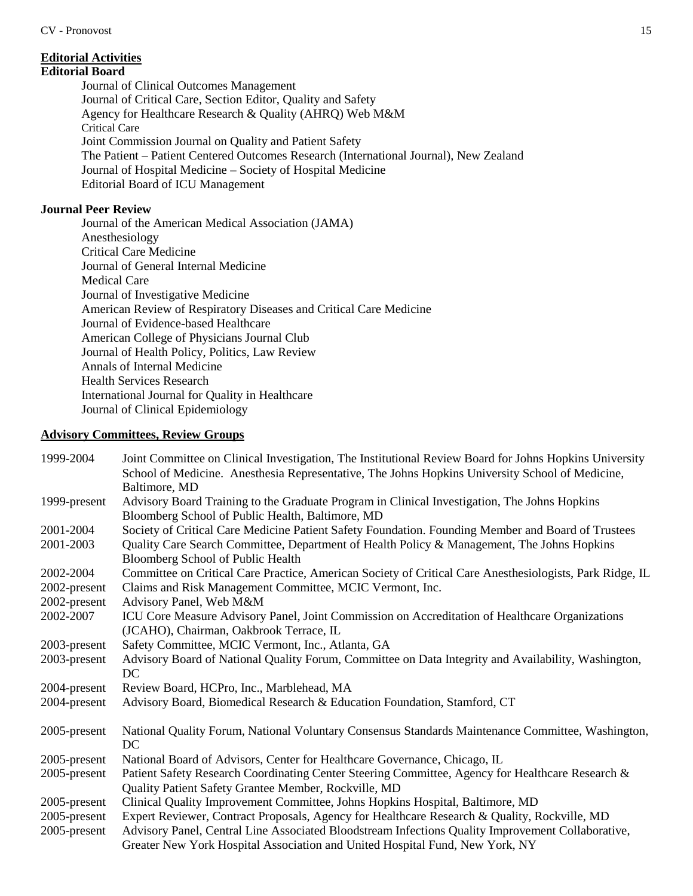# **Editorial Activities**

### **Editorial Board**

Journal of Clinical Outcomes Management Journal of Critical Care, Section Editor, Quality and Safety Agency for Healthcare Research & Quality (AHRQ) Web M&M Critical Care Joint Commission Journal on Quality and Patient Safety The Patient – Patient Centered Outcomes Research (International Journal), New Zealand Journal of Hospital Medicine – Society of Hospital Medicine Editorial Board of ICU Management

### **Journal Peer Review**

Journal of the American Medical Association (JAMA) Anesthesiology Critical Care Medicine Journal of General Internal Medicine Medical Care Journal of Investigative Medicine American Review of Respiratory Diseases and Critical Care Medicine Journal of Evidence-based Healthcare American College of Physicians Journal Club Journal of Health Policy, Politics, Law Review Annals of Internal Medicine Health Services Research International Journal for Quality in Healthcare Journal of Clinical Epidemiology

### **Advisory Committees, Review Groups**

| Joint Committee on Clinical Investigation, The Institutional Review Board for Johns Hopkins University   |
|----------------------------------------------------------------------------------------------------------|
| School of Medicine. Anesthesia Representative, The Johns Hopkins University School of Medicine,          |
| Baltimore, MD                                                                                            |
| Advisory Board Training to the Graduate Program in Clinical Investigation, The Johns Hopkins             |
| Bloomberg School of Public Health, Baltimore, MD                                                         |
| Society of Critical Care Medicine Patient Safety Foundation. Founding Member and Board of Trustees       |
| Quality Care Search Committee, Department of Health Policy & Management, The Johns Hopkins               |
| Bloomberg School of Public Health                                                                        |
| Committee on Critical Care Practice, American Society of Critical Care Anesthesiologists, Park Ridge, IL |
| Claims and Risk Management Committee, MCIC Vermont, Inc.                                                 |
| Advisory Panel, Web M&M                                                                                  |
| ICU Core Measure Advisory Panel, Joint Commission on Accreditation of Healthcare Organizations           |
| (JCAHO), Chairman, Oakbrook Terrace, IL                                                                  |
| Safety Committee, MCIC Vermont, Inc., Atlanta, GA                                                        |
| Advisory Board of National Quality Forum, Committee on Data Integrity and Availability, Washington,      |
| DC                                                                                                       |
| Review Board, HCPro, Inc., Marblehead, MA                                                                |
| Advisory Board, Biomedical Research & Education Foundation, Stamford, CT                                 |
|                                                                                                          |
| National Quality Forum, National Voluntary Consensus Standards Maintenance Committee, Washington,        |
| DC                                                                                                       |
| National Board of Advisors, Center for Healthcare Governance, Chicago, IL                                |
| Patient Safety Research Coordinating Center Steering Committee, Agency for Healthcare Research &         |
| Quality Patient Safety Grantee Member, Rockville, MD                                                     |
| Clinical Quality Improvement Committee, Johns Hopkins Hospital, Baltimore, MD                            |
| Expert Reviewer, Contract Proposals, Agency for Healthcare Research & Quality, Rockville, MD             |
| Advisory Panel, Central Line Associated Bloodstream Infections Quality Improvement Collaborative,        |
| Greater New York Hospital Association and United Hospital Fund, New York, NY                             |
|                                                                                                          |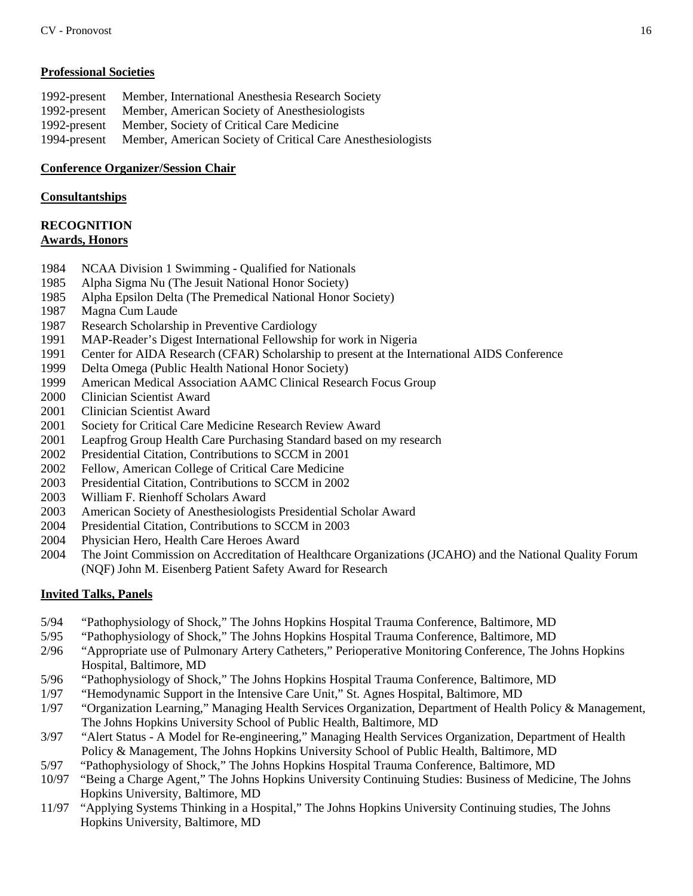### **Professional Societies**

| 1992-present | Member, International Anesthesia Research Society           |
|--------------|-------------------------------------------------------------|
| 1992-present | Member, American Society of Anesthesiologists               |
| 1992-present | Member, Society of Critical Care Medicine                   |
| 1994-present | Member, American Society of Critical Care Anesthesiologists |

### **Conference Organizer/Session Chair**

### **Consultantships**

### **RECOGNITION Awards, Honors**

- 1984 NCAA Division 1 Swimming Qualified for Nationals
- 1985 Alpha Sigma Nu (The Jesuit National Honor Society)
- 1985 Alpha Epsilon Delta (The Premedical National Honor Society)
- 1987 Magna Cum Laude
- 1987 Research Scholarship in Preventive Cardiology
- 1991 MAP-Reader's Digest International Fellowship for work in Nigeria
- 1991 Center for AIDA Research (CFAR) Scholarship to present at the International AIDS Conference
- 1999 Delta Omega (Public Health National Honor Society)
- 1999 American Medical Association AAMC Clinical Research Focus Group
- 2000 Clinician Scientist Award
- 2001 Clinician Scientist Award
- 2001 Society for Critical Care Medicine Research Review Award
- 2001 Leapfrog Group Health Care Purchasing Standard based on my research
- 2002 Presidential Citation, Contributions to SCCM in 2001
- 2002 Fellow, American College of Critical Care Medicine
- 2003 Presidential Citation, Contributions to SCCM in 2002
- 2003 William F. Rienhoff Scholars Award
- 2003 American Society of Anesthesiologists Presidential Scholar Award
- 2004 Presidential Citation, Contributions to SCCM in 2003
- 2004 Physician Hero, Health Care Heroes Award
- 2004 The Joint Commission on Accreditation of Healthcare Organizations (JCAHO) and the National Quality Forum (NQF) John M. Eisenberg Patient Safety Award for Research

# **Invited Talks, Panels**

- 5/94 "Pathophysiology of Shock," The Johns Hopkins Hospital Trauma Conference, Baltimore, MD
- 5/95 "Pathophysiology of Shock," The Johns Hopkins Hospital Trauma Conference, Baltimore, MD
- 2/96 "Appropriate use of Pulmonary Artery Catheters," Perioperative Monitoring Conference, The Johns Hopkins Hospital, Baltimore, MD
- 5/96 "Pathophysiology of Shock," The Johns Hopkins Hospital Trauma Conference, Baltimore, MD
- 1/97 "Hemodynamic Support in the Intensive Care Unit," St. Agnes Hospital, Baltimore, MD
- 1/97 "Organization Learning," Managing Health Services Organization, Department of Health Policy & Management, The Johns Hopkins University School of Public Health, Baltimore, MD
- 3/97 "Alert Status A Model for Re-engineering," Managing Health Services Organization, Department of Health Policy & Management, The Johns Hopkins University School of Public Health, Baltimore, MD
- 5/97 "Pathophysiology of Shock," The Johns Hopkins Hospital Trauma Conference, Baltimore, MD
- 10/97 "Being a Charge Agent," The Johns Hopkins University Continuing Studies: Business of Medicine, The Johns Hopkins University, Baltimore, MD
- 11/97 "Applying Systems Thinking in a Hospital," The Johns Hopkins University Continuing studies, The Johns Hopkins University, Baltimore, MD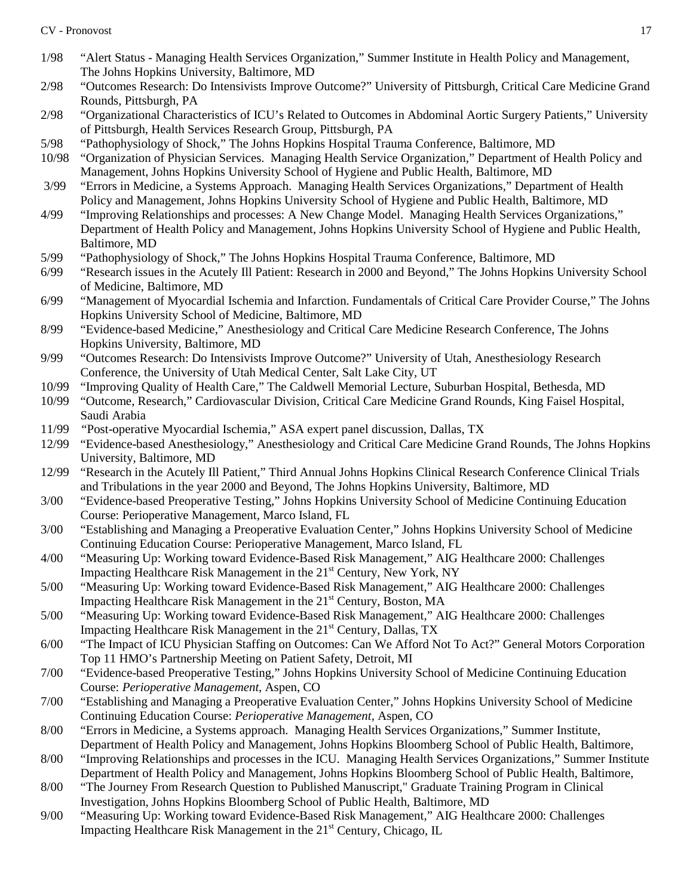- 1/98 "Alert Status Managing Health Services Organization," Summer Institute in Health Policy and Management, The Johns Hopkins University, Baltimore, MD
- 2/98 "Outcomes Research: Do Intensivists Improve Outcome?" University of Pittsburgh, Critical Care Medicine Grand Rounds, Pittsburgh, PA
- 2/98 "Organizational Characteristics of ICU's Related to Outcomes in Abdominal Aortic Surgery Patients," University of Pittsburgh, Health Services Research Group, Pittsburgh, PA
- 5/98 "Pathophysiology of Shock," The Johns Hopkins Hospital Trauma Conference, Baltimore, MD
- 10/98 "Organization of Physician Services. Managing Health Service Organization," Department of Health Policy and Management, Johns Hopkins University School of Hygiene and Public Health, Baltimore, MD
- 3/99 "Errors in Medicine, a Systems Approach. Managing Health Services Organizations," Department of Health Policy and Management, Johns Hopkins University School of Hygiene and Public Health, Baltimore, MD
- 4/99 "Improving Relationships and processes: A New Change Model. Managing Health Services Organizations," Department of Health Policy and Management, Johns Hopkins University School of Hygiene and Public Health, Baltimore, MD
- 5/99 "Pathophysiology of Shock," The Johns Hopkins Hospital Trauma Conference, Baltimore, MD
- 6/99 "Research issues in the Acutely Ill Patient: Research in 2000 and Beyond," The Johns Hopkins University School of Medicine, Baltimore, MD
- 6/99 "Management of Myocardial Ischemia and Infarction. Fundamentals of Critical Care Provider Course," The Johns Hopkins University School of Medicine, Baltimore, MD
- 8/99 "Evidence-based Medicine," Anesthesiology and Critical Care Medicine Research Conference, The Johns Hopkins University, Baltimore, MD
- 9/99 "Outcomes Research: Do Intensivists Improve Outcome?" University of Utah, Anesthesiology Research Conference, the University of Utah Medical Center, Salt Lake City, UT
- 10/99 "Improving Quality of Health Care," The Caldwell Memorial Lecture, Suburban Hospital, Bethesda, MD
- 10/99 "Outcome, Research," Cardiovascular Division, Critical Care Medicine Grand Rounds, King Faisel Hospital, Saudi Arabia
- 11/99 "Post-operative Myocardial Ischemia," ASA expert panel discussion, Dallas, TX
- 12/99 "Evidence-based Anesthesiology," Anesthesiology and Critical Care Medicine Grand Rounds, The Johns Hopkins University, Baltimore, MD
- 12/99 "Research in the Acutely Ill Patient," Third Annual Johns Hopkins Clinical Research Conference Clinical Trials and Tribulations in the year 2000 and Beyond, The Johns Hopkins University, Baltimore, MD
- 3/00 "Evidence-based Preoperative Testing," Johns Hopkins University School of Medicine Continuing Education Course: Perioperative Management*,* Marco Island, FL
- 3/00 "Establishing and Managing a Preoperative Evaluation Center," Johns Hopkins University School of Medicine Continuing Education Course: Perioperative Management, Marco Island, FL
- 4/00 "Measuring Up: Working toward Evidence-Based Risk Management," AIG Healthcare 2000: Challenges Impacting Healthcare Risk Management in the 21<sup>st</sup> Century, New York, NY
- 5/00 "Measuring Up: Working toward Evidence-Based Risk Management," AIG Healthcare 2000: Challenges Impacting Healthcare Risk Management in the 21<sup>st</sup> Century, Boston, MA
- 5/00 "Measuring Up: Working toward Evidence-Based Risk Management," AIG Healthcare 2000: Challenges Impacting Healthcare Risk Management in the 21<sup>st</sup> Century, Dallas, TX
- 6/00 "The Impact of ICU Physician Staffing on Outcomes: Can We Afford Not To Act?" General Motors Corporation Top 11 HMO's Partnership Meeting on Patient Safety, Detroit, MI
- 7/00 "Evidence-based Preoperative Testing," Johns Hopkins University School of Medicine Continuing Education Course: *Perioperative Management,* Aspen, CO
- 7/00 "Establishing and Managing a Preoperative Evaluation Center," Johns Hopkins University School of Medicine Continuing Education Course: *Perioperative Management,* Aspen, CO
- 8/00 "Errors in Medicine, a Systems approach. Managing Health Services Organizations," Summer Institute, Department of Health Policy and Management, Johns Hopkins Bloomberg School of Public Health, Baltimore,
- 8/00 "Improving Relationships and processes in the ICU. Managing Health Services Organizations," Summer Institute Department of Health Policy and Management, Johns Hopkins Bloomberg School of Public Health, Baltimore,
- 8/00 "The Journey From Research Question to Published Manuscript," Graduate Training Program in Clinical Investigation, Johns Hopkins Bloomberg School of Public Health, Baltimore, MD
- 9/00 "Measuring Up: Working toward Evidence-Based Risk Management," AIG Healthcare 2000: Challenges Impacting Healthcare Risk Management in the  $21<sup>st</sup>$  Century, Chicago, IL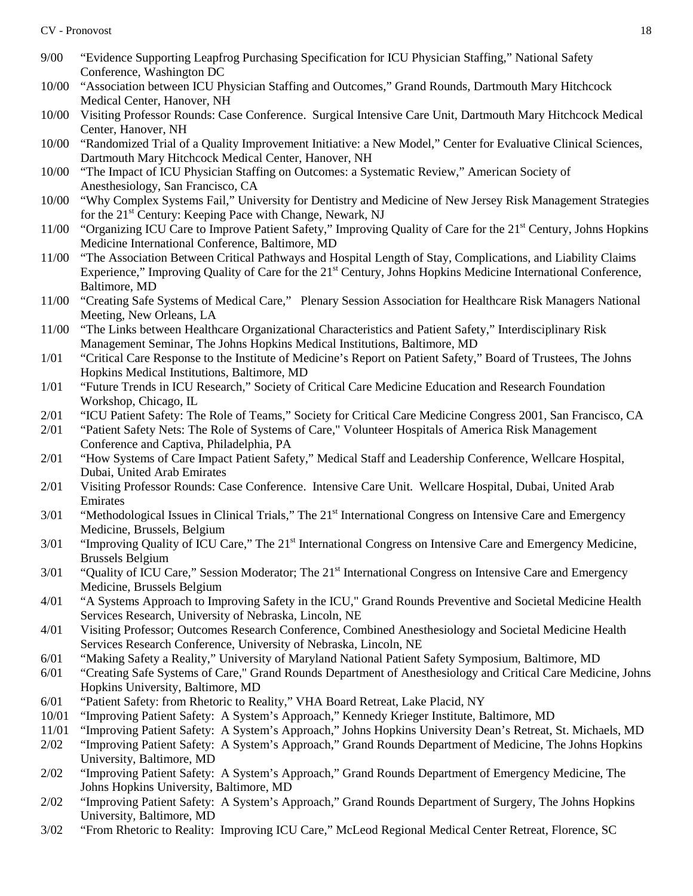- 9/00 "Evidence Supporting Leapfrog Purchasing Specification for ICU Physician Staffing," National Safety Conference, Washington DC
- 10/00 "Association between ICU Physician Staffing and Outcomes," Grand Rounds, Dartmouth Mary Hitchcock Medical Center, Hanover, NH
- 10/00 Visiting Professor Rounds: Case Conference. Surgical Intensive Care Unit, Dartmouth Mary Hitchcock Medical Center, Hanover, NH
- 10/00 "Randomized Trial of a Quality Improvement Initiative: a New Model," Center for Evaluative Clinical Sciences, Dartmouth Mary Hitchcock Medical Center, Hanover, NH
- 10/00 "The Impact of ICU Physician Staffing on Outcomes: a Systematic Review," American Society of Anesthesiology, San Francisco, CA
- 10/00 "Why Complex Systems Fail," University for Dentistry and Medicine of New Jersey Risk Management Strategies for the 21<sup>st</sup> Century: Keeping Pace with Change, Newark, NJ
- 11/00 "Organizing ICU Care to Improve Patient Safety," Improving Quality of Care for the 21st Century, Johns Hopkins Medicine International Conference, Baltimore, MD
- 11/00 "The Association Between Critical Pathways and Hospital Length of Stay, Complications, and Liability Claims Experience," Improving Quality of Care for the 21<sup>st</sup> Century, Johns Hopkins Medicine International Conference, Baltimore, MD
- 11/00 "Creating Safe Systems of Medical Care," Plenary Session Association for Healthcare Risk Managers National Meeting, New Orleans, LA
- 11/00 "The Links between Healthcare Organizational Characteristics and Patient Safety," Interdisciplinary Risk Management Seminar, The Johns Hopkins Medical Institutions, Baltimore, MD
- 1/01 "Critical Care Response to the Institute of Medicine's Report on Patient Safety," Board of Trustees, The Johns Hopkins Medical Institutions, Baltimore, MD
- 1/01 "Future Trends in ICU Research," Society of Critical Care Medicine Education and Research Foundation Workshop, Chicago, IL
- 2/01 "ICU Patient Safety: The Role of Teams," Society for Critical Care Medicine Congress 2001, San Francisco, CA
- 2/01 "Patient Safety Nets: The Role of Systems of Care," Volunteer Hospitals of America Risk Management Conference and Captiva, Philadelphia, PA
- 2/01 "How Systems of Care Impact Patient Safety," Medical Staff and Leadership Conference, Wellcare Hospital, Dubai, United Arab Emirates
- 2/01 Visiting Professor Rounds: Case Conference. Intensive Care Unit. Wellcare Hospital, Dubai, United Arab Emirates
- 3/01 "Methodological Issues in Clinical Trials," The 21<sup>st</sup> International Congress on Intensive Care and Emergency Medicine, Brussels, Belgium
- 3/01 "Improving Quality of ICU Care," The 21<sup>st</sup> International Congress on Intensive Care and Emergency Medicine, Brussels Belgium
- 3/01 "Quality of ICU Care," Session Moderator; The 21<sup>st</sup> International Congress on Intensive Care and Emergency Medicine, Brussels Belgium
- 4/01 "A Systems Approach to Improving Safety in the ICU," Grand Rounds Preventive and Societal Medicine Health Services Research, University of Nebraska, Lincoln, NE
- 4/01 Visiting Professor; Outcomes Research Conference, Combined Anesthesiology and Societal Medicine Health Services Research Conference, University of Nebraska, Lincoln, NE
- 6/01 "Making Safety a Reality," University of Maryland National Patient Safety Symposium, Baltimore, MD
- 6/01 "Creating Safe Systems of Care," Grand Rounds Department of Anesthesiology and Critical Care Medicine, Johns Hopkins University, Baltimore, MD
- 6/01 "Patient Safety: from Rhetoric to Reality," VHA Board Retreat, Lake Placid, NY
- 10/01 "Improving Patient Safety: A System's Approach," Kennedy Krieger Institute, Baltimore, MD
- 11/01 "Improving Patient Safety: A System's Approach," Johns Hopkins University Dean's Retreat, St. Michaels, MD
- 2/02 "Improving Patient Safety: A System's Approach," Grand Rounds Department of Medicine, The Johns Hopkins University, Baltimore, MD
- 2/02 "Improving Patient Safety: A System's Approach," Grand Rounds Department of Emergency Medicine, The Johns Hopkins University, Baltimore, MD
- 2/02 "Improving Patient Safety: A System's Approach," Grand Rounds Department of Surgery, The Johns Hopkins University, Baltimore, MD
- 3/02 "From Rhetoric to Reality: Improving ICU Care," McLeod Regional Medical Center Retreat, Florence, SC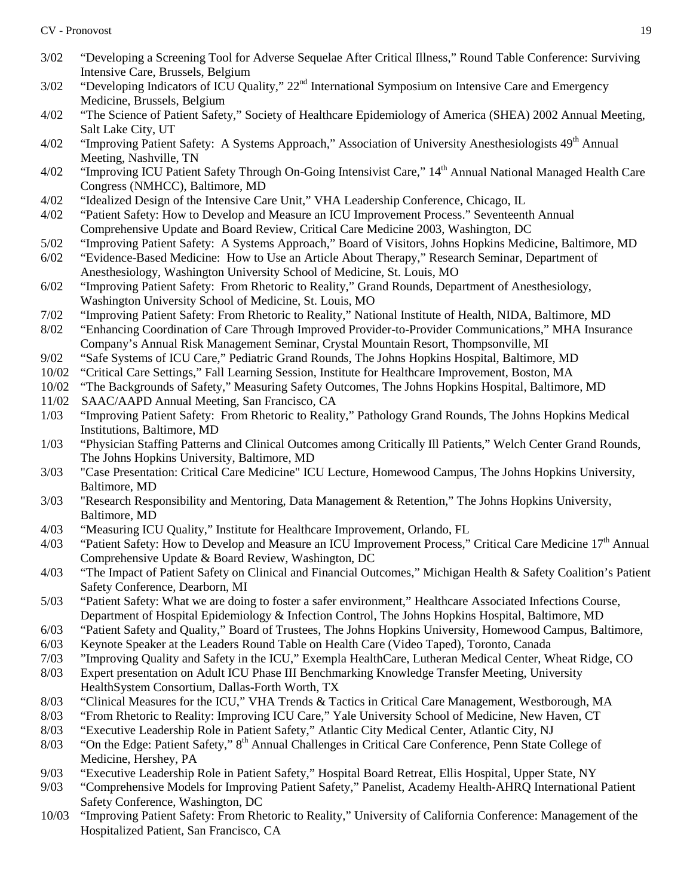- 3/02 "Developing a Screening Tool for Adverse Sequelae After Critical Illness," Round Table Conference: Surviving Intensive Care, Brussels, Belgium
- $3/02$  "Developing Indicators of ICU Quality,"  $22<sup>nd</sup>$  International Symposium on Intensive Care and Emergency Medicine, Brussels, Belgium
- 4/02 "The Science of Patient Safety," Society of Healthcare Epidemiology of America (SHEA) 2002 Annual Meeting, Salt Lake City, UT
- 4/02 "Improving Patient Safety: A Systems Approach," Association of University Anesthesiologists 49<sup>th</sup> Annual Meeting, Nashville, TN
- 4/02 "Improving ICU Patient Safety Through On-Going Intensivist Care," 14<sup>th</sup> Annual National Managed Health Care Congress (NMHCC), Baltimore, MD
- 4/02 "Idealized Design of the Intensive Care Unit," VHA Leadership Conference, Chicago, IL
- 4/02 "Patient Safety: How to Develop and Measure an ICU Improvement Process." Seventeenth Annual Comprehensive Update and Board Review, Critical Care Medicine 2003, Washington, DC
- 5/02 "Improving Patient Safety: A Systems Approach," Board of Visitors, Johns Hopkins Medicine, Baltimore, MD
- 6/02 "Evidence-Based Medicine: How to Use an Article About Therapy," Research Seminar, Department of Anesthesiology, Washington University School of Medicine, St. Louis, MO
- 6/02 "Improving Patient Safety: From Rhetoric to Reality," Grand Rounds, Department of Anesthesiology, Washington University School of Medicine, St. Louis, MO
- 7/02 "Improving Patient Safety: From Rhetoric to Reality," National Institute of Health, NIDA, Baltimore, MD
- 8/02 "Enhancing Coordination of Care Through Improved Provider-to-Provider Communications," MHA Insurance Company's Annual Risk Management Seminar, Crystal Mountain Resort, Thompsonville, MI
- 9/02 "Safe Systems of ICU Care," Pediatric Grand Rounds, The Johns Hopkins Hospital, Baltimore, MD
- 10/02 "Critical Care Settings," Fall Learning Session, Institute for Healthcare Improvement, Boston, MA
- 10/02 "The Backgrounds of Safety," Measuring Safety Outcomes, The Johns Hopkins Hospital, Baltimore, MD
- 11/02 SAAC/AAPD Annual Meeting, San Francisco, CA
- 1/03 "Improving Patient Safety: From Rhetoric to Reality," Pathology Grand Rounds, The Johns Hopkins Medical Institutions, Baltimore, MD
- 1/03 "Physician Staffing Patterns and Clinical Outcomes among Critically Ill Patients," Welch Center Grand Rounds, The Johns Hopkins University, Baltimore, MD
- 3/03 "Case Presentation: Critical Care Medicine" ICU Lecture, Homewood Campus, The Johns Hopkins University, Baltimore, MD
- 3/03 "Research Responsibility and Mentoring, Data Management & Retention," The Johns Hopkins University, Baltimore, MD
- 4/03 "Measuring ICU Quality," Institute for Healthcare Improvement, Orlando, FL
- 4/03 "Patient Safety: How to Develop and Measure an ICU Improvement Process," Critical Care Medicine  $17<sup>th</sup>$  Annual Comprehensive Update & Board Review, Washington, DC
- 4/03 "The Impact of Patient Safety on Clinical and Financial Outcomes," Michigan Health & Safety Coalition's Patient Safety Conference, Dearborn, MI
- 5/03 "Patient Safety: What we are doing to foster a safer environment," Healthcare Associated Infections Course, Department of Hospital Epidemiology & Infection Control, The Johns Hopkins Hospital, Baltimore, MD
- 6/03 "Patient Safety and Quality," Board of Trustees, The Johns Hopkins University, Homewood Campus, Baltimore,
- 6/03 Keynote Speaker at the Leaders Round Table on Health Care (Video Taped), Toronto, Canada
- 7/03 "Improving Quality and Safety in the ICU," Exempla HealthCare, Lutheran Medical Center, Wheat Ridge, CO
- 8/03 Expert presentation on Adult ICU Phase III Benchmarking Knowledge Transfer Meeting, University HealthSystem Consortium, Dallas-Forth Worth, TX
- 8/03 "Clinical Measures for the ICU," VHA Trends & Tactics in Critical Care Management, Westborough, MA 8/03 "From Rhetoric to Reality: Improving ICU Care," Yale University School of Medicine, New Haven, CT
- 8/03 "From Rhetoric to Reality: Improving ICU Care," Yale University School of Medicine, New Haven, CT
- 8/03 "Executive Leadership Role in Patient Safety," Atlantic City Medical Center, Atlantic City, NJ
- 8/03 "On the Edge: Patient Safety," 8<sup>th</sup> Annual Challenges in Critical Care Conference, Penn State College of Medicine, Hershey, PA
- 9/03 "Executive Leadership Role in Patient Safety," Hospital Board Retreat, Ellis Hospital, Upper State, NY
- 9/03 "Comprehensive Models for Improving Patient Safety," Panelist, Academy Health-AHRQ International Patient Safety Conference, Washington, DC
- 10/03 "Improving Patient Safety: From Rhetoric to Reality," University of California Conference: Management of the Hospitalized Patient, San Francisco, CA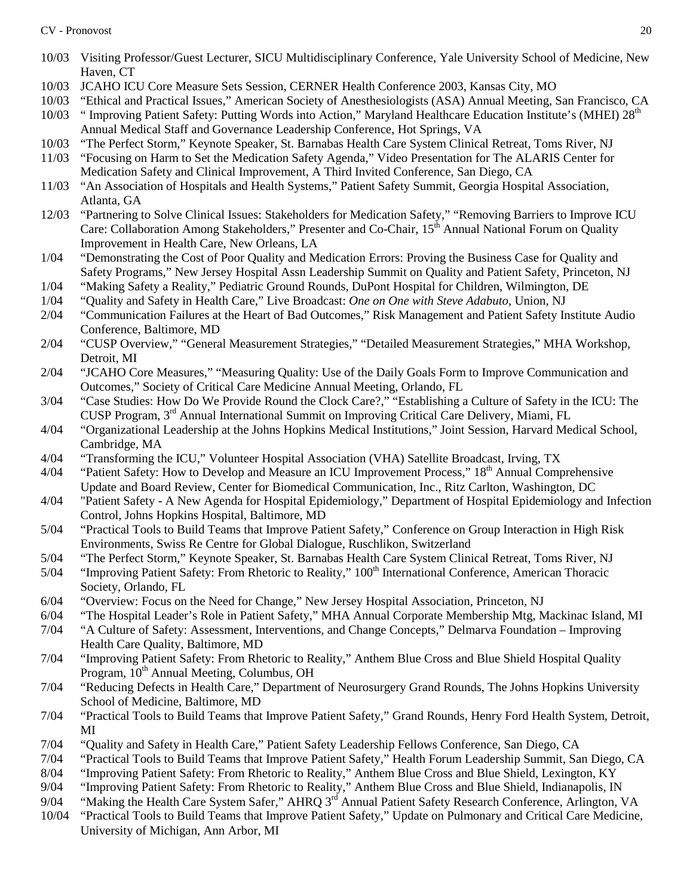- 10/03 Visiting Professor/Guest Lecturer, SICU Multidisciplinary Conference, Yale University School of Medicine, New Haven, CT
- 10/03 JCAHO ICU Core Measure Sets Session, CERNER Health Conference 2003, Kansas City, MO
- 10/03 "Ethical and Practical Issues," American Society of Anesthesiologists (ASA) Annual Meeting, San Francisco, CA
- $10/03$  " Improving Patient Safety: Putting Words into Action," Maryland Healthcare Education Institute's (MHEI)  $28<sup>th</sup>$ Annual Medical Staff and Governance Leadership Conference, Hot Springs, VA
- 10/03 "The Perfect Storm," Keynote Speaker, St. Barnabas Health Care System Clinical Retreat, Toms River, NJ
- 11/03 "Focusing on Harm to Set the Medication Safety Agenda," Video Presentation for The ALARIS Center for Medication Safety and Clinical Improvement, A Third Invited Conference, San Diego, CA
- 11/03 "An Association of Hospitals and Health Systems," Patient Safety Summit, Georgia Hospital Association, Atlanta, GA
- 12/03 "Partnering to Solve Clinical Issues: Stakeholders for Medication Safety," "Removing Barriers to Improve ICU Care: Collaboration Among Stakeholders," Presenter and Co-Chair, 15<sup>th</sup> Annual National Forum on Quality Improvement in Health Care, New Orleans, LA
- 1/04 "Demonstrating the Cost of Poor Quality and Medication Errors: Proving the Business Case for Quality and Safety Programs," New Jersey Hospital Assn Leadership Summit on Quality and Patient Safety, Princeton, NJ
- 1/04 "Making Safety a Reality," Pediatric Ground Rounds, DuPont Hospital for Children, Wilmington, DE
- 1/04 "Quality and Safety in Health Care," Live Broadcast: *One on One with Steve Adabuto*, Union, NJ
- 2/04 "Communication Failures at the Heart of Bad Outcomes," Risk Management and Patient Safety Institute Audio Conference, Baltimore, MD
- 2/04 "CUSP Overview," "General Measurement Strategies," "Detailed Measurement Strategies," MHA Workshop, Detroit, MI
- 2/04 "JCAHO Core Measures," "Measuring Quality: Use of the Daily Goals Form to Improve Communication and Outcomes," Society of Critical Care Medicine Annual Meeting, Orlando, FL
- 3/04 "Case Studies: How Do We Provide Round the Clock Care?," "Establishing a Culture of Safety in the ICU: The CUSP Program, 3rd Annual International Summit on Improving Critical Care Delivery, Miami, FL
- 4/04 "Organizational Leadership at the Johns Hopkins Medical Institutions," Joint Session, Harvard Medical School, Cambridge, MA
- 4/04 "Transforming the ICU," Volunteer Hospital Association (VHA) Satellite Broadcast, Irving, TX
- 4/04 "Patient Safety: How to Develop and Measure an ICU Improvement Process," 18<sup>th</sup> Annual Comprehensive Update and Board Review, Center for Biomedical Communication, Inc., Ritz Carlton, Washington, DC
- 4/04 "Patient Safety A New Agenda for Hospital Epidemiology," Department of Hospital Epidemiology and Infection Control, Johns Hopkins Hospital, Baltimore, MD
- 5/04 "Practical Tools to Build Teams that Improve Patient Safety," Conference on Group Interaction in High Risk Environments, Swiss Re Centre for Global Dialogue, Ruschlikon, Switzerland
- 5/04 "The Perfect Storm," Keynote Speaker, St. Barnabas Health Care System Clinical Retreat, Toms River, NJ
- 5/04 "Improving Patient Safety: From Rhetoric to Reality," 100<sup>th</sup> International Conference, American Thoracic Society, Orlando, FL
- 6/04 "Overview: Focus on the Need for Change," New Jersey Hospital Association, Princeton, NJ
- 6/04 "The Hospital Leader's Role in Patient Safety," MHA Annual Corporate Membership Mtg, Mackinac Island, MI
- 7/04 "A Culture of Safety: Assessment, Interventions, and Change Concepts," Delmarva Foundation Improving Health Care Quality, Baltimore, MD
- 7/04 "Improving Patient Safety: From Rhetoric to Reality," Anthem Blue Cross and Blue Shield Hospital Quality Program,  $10^{th}$  Annual Meeting, Columbus, OH
- 7/04 "Reducing Defects in Health Care," Department of Neurosurgery Grand Rounds, The Johns Hopkins University School of Medicine, Baltimore, MD
- 7/04 "Practical Tools to Build Teams that Improve Patient Safety," Grand Rounds, Henry Ford Health System, Detroit, MI
- 7/04 "Quality and Safety in Health Care," Patient Safety Leadership Fellows Conference, San Diego, CA
- 7/04 "Practical Tools to Build Teams that Improve Patient Safety," Health Forum Leadership Summit, San Diego, CA
- 8/04 "Improving Patient Safety: From Rhetoric to Reality," Anthem Blue Cross and Blue Shield, Lexington, KY
- 9/04 "Improving Patient Safety: From Rhetoric to Reality," Anthem Blue Cross and Blue Shield, Indianapolis, IN
- 9/04 "Making the Health Care System Safer," AHRQ 3<sup>rd</sup> Annual Patient Safety Research Conference, Arlington, VA
- 10/04 "Practical Tools to Build Teams that Improve Patient Safety," Update on Pulmonary and Critical Care Medicine, University of Michigan, Ann Arbor, MI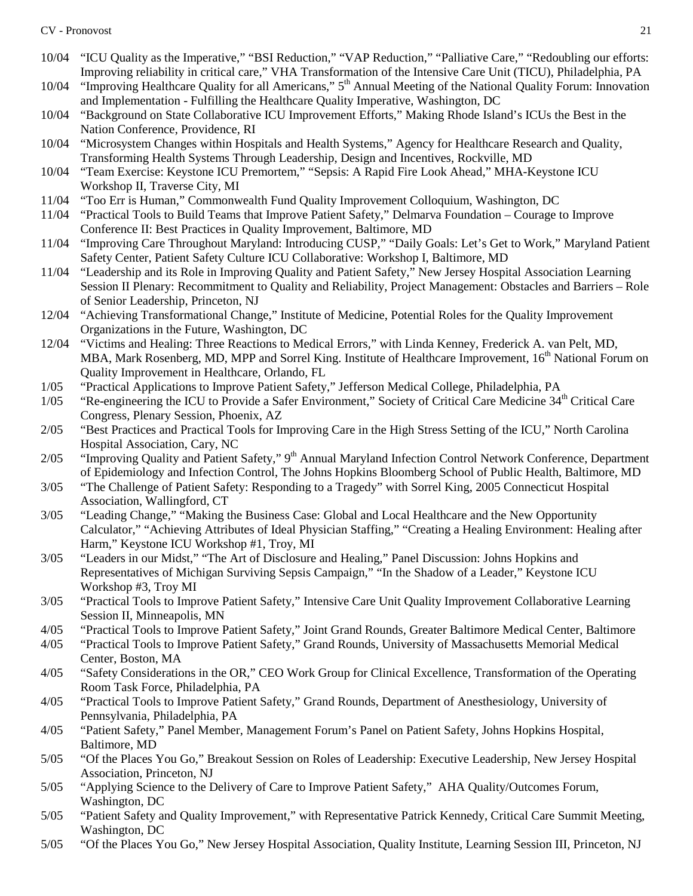- 10/04 "ICU Quality as the Imperative," "BSI Reduction," "VAP Reduction," "Palliative Care," "Redoubling our efforts: Improving reliability in critical care," VHA Transformation of the Intensive Care Unit (TICU), Philadelphia, PA
- 10/04 "Improving Healthcare Quality for all Americans," 5<sup>th</sup> Annual Meeting of the National Quality Forum: Innovation and Implementation - Fulfilling the Healthcare Quality Imperative, Washington, DC
- 10/04 "Background on State Collaborative ICU Improvement Efforts," Making Rhode Island's ICUs the Best in the Nation Conference, Providence, RI
- 10/04 "Microsystem Changes within Hospitals and Health Systems," Agency for Healthcare Research and Quality, Transforming Health Systems Through Leadership, Design and Incentives, Rockville, MD
- 10/04 "Team Exercise: Keystone ICU Premortem," "Sepsis: A Rapid Fire Look Ahead," MHA-Keystone ICU Workshop II, Traverse City, MI
- 11/04 "Too Err is Human," Commonwealth Fund Quality Improvement Colloquium, Washington, DC
- 11/04 "Practical Tools to Build Teams that Improve Patient Safety," Delmarva Foundation Courage to Improve Conference II: Best Practices in Quality Improvement, Baltimore, MD
- 11/04 "Improving Care Throughout Maryland: Introducing CUSP," "Daily Goals: Let's Get to Work," Maryland Patient Safety Center, Patient Safety Culture ICU Collaborative: Workshop I, Baltimore, MD
- 11/04 "Leadership and its Role in Improving Quality and Patient Safety," New Jersey Hospital Association Learning Session II Plenary: Recommitment to Quality and Reliability, Project Management: Obstacles and Barriers – Role of Senior Leadership, Princeton, NJ
- 12/04 "Achieving Transformational Change," Institute of Medicine, Potential Roles for the Quality Improvement Organizations in the Future, Washington, DC
- 12/04 "Victims and Healing: Three Reactions to Medical Errors," with Linda Kenney, Frederick A. van Pelt, MD, MBA, Mark Rosenberg, MD, MPP and Sorrel King. Institute of Healthcare Improvement, 16<sup>th</sup> National Forum on Quality Improvement in Healthcare, Orlando, FL
- 1/05 "Practical Applications to Improve Patient Safety," Jefferson Medical College, Philadelphia, PA
- $1/05$  "Re-engineering the ICU to Provide a Safer Environment," Society of Critical Care Medicine  $34<sup>th</sup>$  Critical Care Congress, Plenary Session, Phoenix, AZ
- 2/05 "Best Practices and Practical Tools for Improving Care in the High Stress Setting of the ICU," North Carolina Hospital Association, Cary, NC
- 2/05 "Improving Quality and Patient Safety," 9<sup>th</sup> Annual Maryland Infection Control Network Conference, Department of Epidemiology and Infection Control, The Johns Hopkins Bloomberg School of Public Health, Baltimore, MD
- 3/05 "The Challenge of Patient Safety: Responding to a Tragedy" with Sorrel King, 2005 Connecticut Hospital Association, Wallingford, CT
- 3/05 "Leading Change," "Making the Business Case: Global and Local Healthcare and the New Opportunity Calculator," "Achieving Attributes of Ideal Physician Staffing," "Creating a Healing Environment: Healing after Harm," Keystone ICU Workshop #1, Troy, MI
- 3/05 "Leaders in our Midst," "The Art of Disclosure and Healing," Panel Discussion: Johns Hopkins and Representatives of Michigan Surviving Sepsis Campaign," "In the Shadow of a Leader," Keystone ICU Workshop #3, Troy MI
- 3/05 "Practical Tools to Improve Patient Safety," Intensive Care Unit Quality Improvement Collaborative Learning Session II, Minneapolis, MN
- 4/05 "Practical Tools to Improve Patient Safety," Joint Grand Rounds, Greater Baltimore Medical Center, Baltimore
- 4/05 "Practical Tools to Improve Patient Safety," Grand Rounds, University of Massachusetts Memorial Medical Center, Boston, MA
- 4/05 "Safety Considerations in the OR," CEO Work Group for Clinical Excellence, Transformation of the Operating Room Task Force, Philadelphia, PA
- 4/05 "Practical Tools to Improve Patient Safety," Grand Rounds, Department of Anesthesiology, University of Pennsylvania, Philadelphia, PA
- 4/05 "Patient Safety," Panel Member, Management Forum's Panel on Patient Safety, Johns Hopkins Hospital, Baltimore, MD
- 5/05 "Of the Places You Go," Breakout Session on Roles of Leadership: Executive Leadership, New Jersey Hospital Association, Princeton, NJ
- 5/05 "Applying Science to the Delivery of Care to Improve Patient Safety," AHA Quality/Outcomes Forum, Washington, DC
- 5/05 "Patient Safety and Quality Improvement," with Representative Patrick Kennedy, Critical Care Summit Meeting, Washington, DC
- 5/05 "Of the Places You Go," New Jersey Hospital Association, Quality Institute, Learning Session III, Princeton, NJ